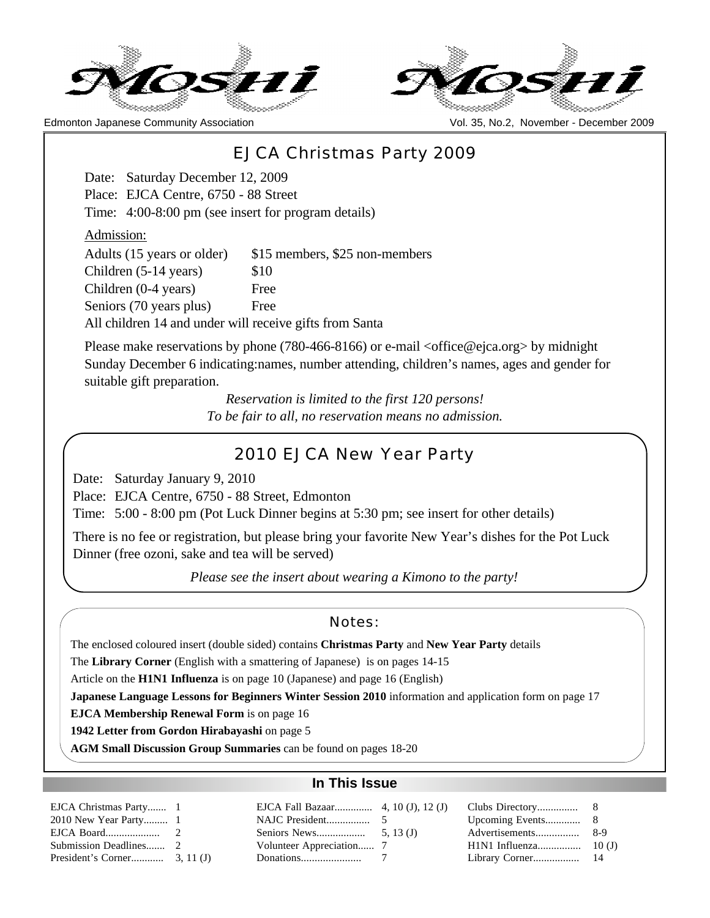



Edmonton Japanese Community Association Vol. 35, No.2, November - December 2009

# EJCA Christmas Party 2009

Date: Saturday December 12, 2009

Place: EJCA Centre, 6750 - 88 Street

Time: 4:00-8:00 pm (see insert for program details)

Admission:

Adults (15 years or older) \$15 members, \$25 non-members Children  $(5-14 \text{ years})$  \$10 Children (0-4 years) Free Seniors (70 years plus) Free All children 14 and under will receive gifts from Santa

Please make reservations by phone (780-466-8166) or e-mail <office@ejca.org> by midnight Sunday December 6 indicating:names, number attending, children's names, ages and gender for suitable gift preparation.

> *Reservation is limited to the first 120 persons! To be fair to all, no reservation means no admission.*

# 2010 EJCA New Year Party

Date: Saturday January 9, 2010

Place: EJCA Centre, 6750 - 88 Street, Edmonton

Time: 5:00 - 8:00 pm (Pot Luck Dinner begins at 5:30 pm; see insert for other details)

There is no fee or registration, but please bring your favorite New Year's dishes for the Pot Luck Dinner (free ozoni, sake and tea will be served)

*Please see the insert about wearing a Kimono to the party!*

# Notes:

The enclosed coloured insert (double sided) contains **Christmas Party** and **New Year Party** details

The **Library Corner** (English with a smattering of Japanese) is on pages 14-15

Article on the **H1N1 Influenza** is on page 10 (Japanese) and page 16 (English)

**Japanese Language Lessons for Beginners Winter Session 2010** information and application form on page 17

**EJCA Membership Renewal Form** is on page 16

**1942 Letter from Gordon Hirabayashi** on page 5

**AGM Small Discussion Group Summaries** can be found on pages 18-20

### **In This Issue**

| EJCA Christmas Party 1 |   |
|------------------------|---|
| 2010 New Year Party 1  |   |
| EICA Board             | 2 |
| Submission Deadlines 2 |   |
|                        |   |
|                        |   |

|  | Ch  |
|--|-----|
|  | Up  |
|  | Ad  |
|  | H1  |
|  | Lib |

| Clubs Directory | 8     |
|-----------------|-------|
| Upcoming Events | 8     |
| Advertisements  | $8-9$ |
|                 | 10(J) |
| Library Corner  | 14    |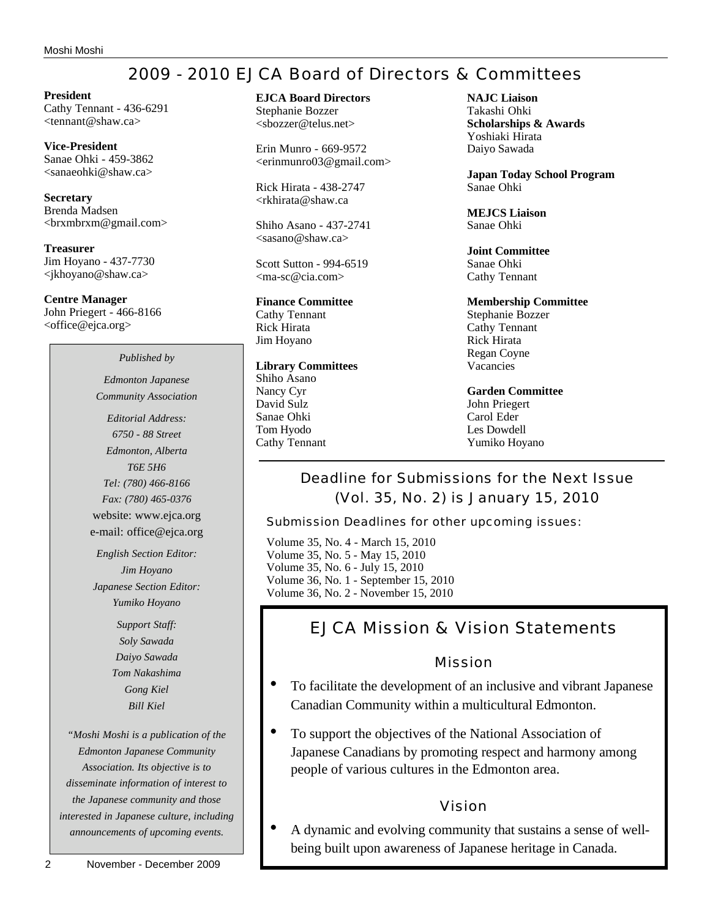# 2009 - 2010 EJCA Board of Directors & Committees

**President** Cathy Tennant - 436-6291 <tennant@shaw.ca>

**Vice-President** Sanae Ohki - 459-3862 <sanaeohki@shaw.ca>

**Secretary** Brenda Madsen <brxmbrxm@gmail.com>

**Treasurer** Jim Hoyano - 437-7730 <jkhoyano@shaw.ca>

**Centre Manager** John Priegert - 466-8166 <office@ejca.org>

*Published by*

*Edmonton Japanese Community Association*

*Editorial Address: 6750 - 88 Street Edmonton, Alberta T6E 5H6 Tel: (780) 466-8166 Fax: (780) 465-0376* website: www.ejca.org e-mail: office@ejca.org

*English Section Editor: Jim Hoyano Japanese Section Editor: Yumiko Hoyano*

> *Support Staff: Soly Sawada Daiyo Sawada Tom Nakashima Gong Kiel Bill Kiel*

*"Moshi Moshi is a publication of the Edmonton Japanese Community Association. Its objective is to disseminate information of interest to the Japanese community and those interested in Japanese culture, including announcements of upcoming events.*

#### **EJCA Board Directors**

Stephanie Bozzer <sbozzer@telus.net>

Erin Munro - 669-9572 <erinmunro03@gmail.com>

Rick Hirata - 438-2747 <rkhirata@shaw.ca

Shiho Asano - 437-2741  $\langle$ sasano@shaw.ca $\rangle$ 

Scott Sutton - 994-6519 <ma-sc@cia.com>

### **Finance Committee**

Cathy Tennant Rick Hirata Jim Hoyano

### **Library Committees**

Shiho Asano Nancy Cyr David Sulz Sanae Ohki Tom Hyodo Cathy Tennant **NAJC Liaison** Takashi Ohki **Scholarships & Awards** Yoshiaki Hirata Daiyo Sawada

**Japan Today School Program** Sanae Ohki

**MEJCS Liaison** Sanae Ohki

**Joint Committee** Sanae Ohki Cathy Tennant

#### **Membership Committee**

Stephanie Bozzer Cathy Tennant Rick Hirata Regan Coyne Vacancies

**Garden Committee** John Priegert Carol Eder Les Dowdell Yumiko Hoyano

Deadline for Submissions for the Next Issue (Vol. 35, No. 2) is January 15, 2010

Submission Deadlines for other upcoming issues:

Volume 35, No. 4 - March 15, 2010 Volume 35, No. 5 - May 15, 2010 Volume 35, No. 6 - July 15, 2010 Volume 36, No. 1 - September 15, 2010 Volume 36, No. 2 - November 15, 2010

# EJCA Mission & Vision Statements

# Mission

- To facilitate the development of an inclusive and vibrant Japanese Canadian Community within a multicultural Edmonton.
- To support the objectives of the National Association of Japanese Canadians by promoting respect and harmony among people of various cultures in the Edmonton area.

# Vision

• A dynamic and evolving community that sustains a sense of wellbeing built upon awareness of Japanese heritage in Canada.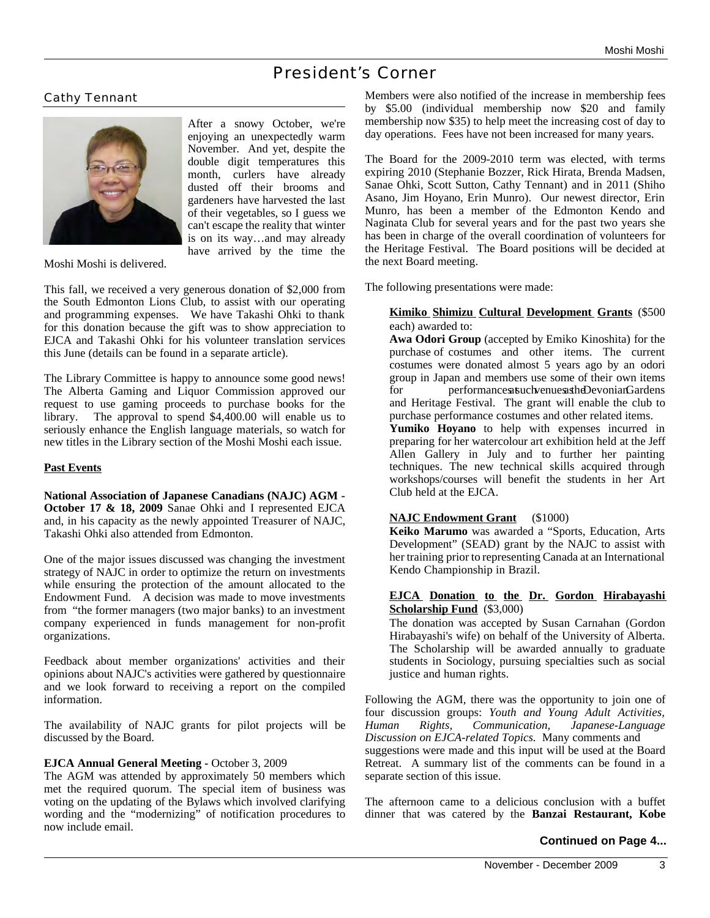# President's Corner

# Cathy Tennant



After a snowy October, we're enjoying an unexpectedly warm November. And yet, despite the double digit temperatures this month, curlers have already dusted off their brooms and gardeners have harvested the last of their vegetables, so I guess we can't escape the reality that winter is on its way…and may already have arrived by the time the

Moshi Moshi is delivered.

This fall, we received a very generous donation of \$2,000 from the South Edmonton Lions Club, to assist with our operating and programming expenses. We have Takashi Ohki to thank for this donation because the gift was to show appreciation to EJCA and Takashi Ohki for his volunteer translation services this June (details can be found in a separate article).

The Library Committee is happy to announce some good news! The Alberta Gaming and Liquor Commission approved our request to use gaming proceeds to purchase books for the library. The approval to spend \$4,400.00 will enable us to seriously enhance the English language materials, so watch for new titles in the Library section of the Moshi Moshi each issue.

#### **Past Events**

**National Association of Japanese Canadians (NAJC) AGM - October 17 & 18, 2009** Sanae Ohki and I represented EJCA and, in his capacity as the newly appointed Treasurer of NAJC, Takashi Ohki also attended from Edmonton.

One of the major issues discussed was changing the investment strategy of NAJC in order to optimize the return on investments while ensuring the protection of the amount allocated to the Endowment Fund. A decision was made to move investments from "the former managers (two major banks) to an investment company experienced in funds management for non-profit organizations.

Feedback about member organizations' activities and their opinions about NAJC's activities were gathered by questionnaire and we look forward to receiving a report on the compiled information.

The availability of NAJC grants for pilot projects will be discussed by the Board.

#### **EJCA Annual General Meeting -** October 3, 2009

The AGM was attended by approximately 50 members which met the required quorum. The special item of business was voting on the updating of the Bylaws which involved clarifying wording and the "modernizing" of notification procedures to now include email.

Members were also notified of the increase in membership fees by \$5.00 (individual membership now \$20 and family membership now \$35) to help meet the increasing cost of day to day operations. Fees have not been increased for many years.

The Board for the 2009-2010 term was elected, with terms expiring 2010 (Stephanie Bozzer, Rick Hirata, Brenda Madsen, Sanae Ohki, Scott Sutton, Cathy Tennant) and in 2011 (Shiho Asano, Jim Hoyano, Erin Munro). Our newest director, Erin Munro, has been a member of the Edmonton Kendo and Naginata Club for several years and for the past two years she has been in charge of the overall coordination of volunteers for the Heritage Festival. The Board positions will be decided at the next Board meeting.

The following presentations were made:

#### **Kimiko Shimizu Cultural Development Grants** (\$500 each) awarded to:

**Awa Odori Group** (accepted by Emiko Kinoshita) for the purchase of costumes and other items. The current costumes were donated almost 5 years ago by an odori group in Japan and members use some of their own items for performances at uch venues as the Devonian Gardens and Heritage Festival. The grant will enable the club to purchase performance costumes and other related items.

**Yumiko Hoyano** to help with expenses incurred in preparing for her watercolour art exhibition held at the Jeff Allen Gallery in July and to further her painting techniques. The new technical skills acquired through workshops/courses will benefit the students in her Art Club held at the EJCA.

#### **NAJC Endowment Grant** (\$1000)

**Keiko Marumo** was awarded a "Sports, Education, Arts Development" (SEAD) grant by the NAJC to assist with her training prior to representing Canada at an International Kendo Championship in Brazil.

#### **EJCA Donation to the Dr. Gordon Hirabayashi Scholarship Fund** (\$3,000)

The donation was accepted by Susan Carnahan (Gordon Hirabayashi's wife) on behalf of the University of Alberta. The Scholarship will be awarded annually to graduate students in Sociology, pursuing specialties such as social justice and human rights.

Following the AGM, there was the opportunity to join one of four discussion groups: *Youth and Young Adult Activities, Human Rights, Communication, Japanese-Language Discussion on EJCA-related Topics.* Many comments and suggestions were made and this input will be used at the Board Retreat. A summary list of the comments can be found in a separate section of this issue.

The afternoon came to a delicious conclusion with a buffet dinner that was catered by the **Banzai Restaurant, Kobe** 

#### **Continued on Page 4...**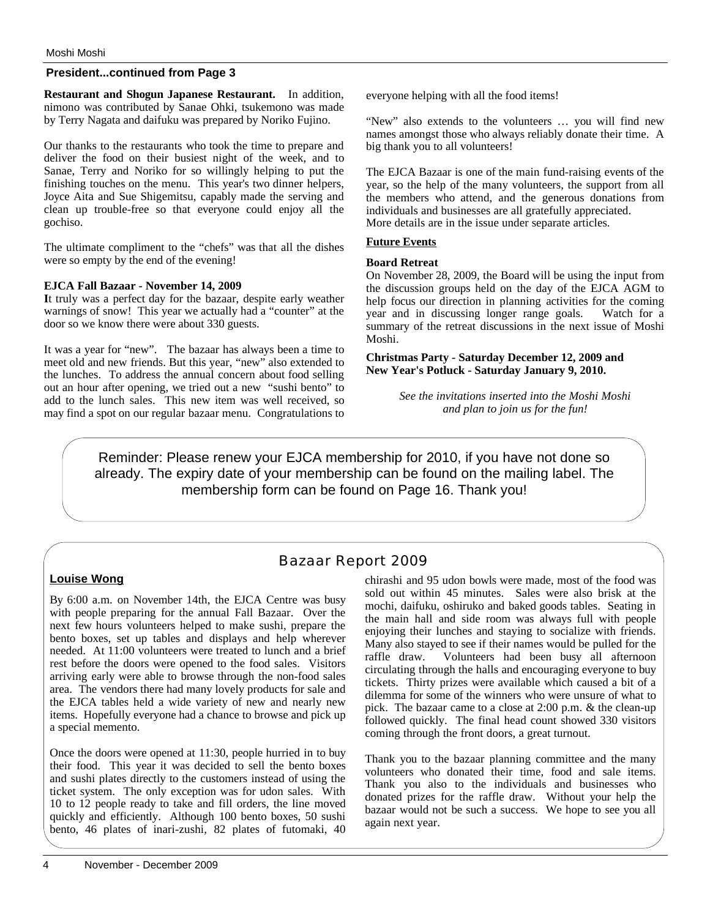#### **President...continued from Page 3**

**Restaurant and Shogun Japanese Restaurant.** In addition, nimono was contributed by Sanae Ohki, tsukemono was made by Terry Nagata and daifuku was prepared by Noriko Fujino.

Our thanks to the restaurants who took the time to prepare and deliver the food on their busiest night of the week, and to Sanae, Terry and Noriko for so willingly helping to put the finishing touches on the menu. This year's two dinner helpers, Joyce Aita and Sue Shigemitsu, capably made the serving and clean up trouble-free so that everyone could enjoy all the gochiso.

The ultimate compliment to the "chefs" was that all the dishes were so empty by the end of the evening!

#### **EJCA Fall Bazaar - November 14, 2009**

**I**t truly was a perfect day for the bazaar, despite early weather warnings of snow! This year we actually had a "counter" at the door so we know there were about 330 guests.

It was a year for "new". The bazaar has always been a time to meet old and new friends. But this year, "new" also extended to the lunches. To address the annual concern about food selling out an hour after opening, we tried out a new "sushi bento" to add to the lunch sales. This new item was well received, so may find a spot on our regular bazaar menu. Congratulations to

everyone helping with all the food items!

"New" also extends to the volunteers … you will find new names amongst those who always reliably donate their time. A big thank you to all volunteers!

The EJCA Bazaar is one of the main fund-raising events of the year, so the help of the many volunteers, the support from all the members who attend, and the generous donations from individuals and businesses are all gratefully appreciated. More details are in the issue under separate articles.

#### **Future Events**

#### **Board Retreat**

On November 28, 2009, the Board will be using the input from the discussion groups held on the day of the EJCA AGM to help focus our direction in planning activities for the coming year and in discussing longer range goals. Watch for a summary of the retreat discussions in the next issue of Moshi Moshi.

#### **Christmas Party - Saturday December 12, 2009 and New Year's Potluck - Saturday January 9, 2010.**

*See the invitations inserted into the Moshi Moshi and plan to join us for the fun!*

Reminder: Please renew your EJCA membership for 2010, if you have not done so already. The expiry date of your membership can be found on the mailing label. The membership form can be found on Page 16. Thank you!

#### **Louise Wong**

By 6:00 a.m. on November 14th, the EJCA Centre was busy with people preparing for the annual Fall Bazaar. Over the next few hours volunteers helped to make sushi, prepare the bento boxes, set up tables and displays and help wherever needed. At 11:00 volunteers were treated to lunch and a brief rest before the doors were opened to the food sales. Visitors arriving early were able to browse through the non-food sales area. The vendors there had many lovely products for sale and the EJCA tables held a wide variety of new and nearly new items. Hopefully everyone had a chance to browse and pick up a special memento.

Once the doors were opened at 11:30, people hurried in to buy their food. This year it was decided to sell the bento boxes and sushi plates directly to the customers instead of using the ticket system. The only exception was for udon sales. With 10 to 12 people ready to take and fill orders, the line moved quickly and efficiently. Although 100 bento boxes, 50 sushi bento, 46 plates of inari-zushi, 82 plates of futomaki, 40

# Bazaar Report 2009 chirashi and 95 udon bowls were made, most of the food was

sold out within 45 minutes. Sales were also brisk at the mochi, daifuku, oshiruko and baked goods tables. Seating in the main hall and side room was always full with people enjoying their lunches and staying to socialize with friends. Many also stayed to see if their names would be pulled for the raffle draw. Volunteers had been busy all afternoon circulating through the halls and encouraging everyone to buy tickets. Thirty prizes were available which caused a bit of a dilemma for some of the winners who were unsure of what to pick. The bazaar came to a close at 2:00 p.m. & the clean-up followed quickly. The final head count showed 330 visitors coming through the front doors, a great turnout.

Thank you to the bazaar planning committee and the many volunteers who donated their time, food and sale items. Thank you also to the individuals and businesses who donated prizes for the raffle draw. Without your help the bazaar would not be such a success. We hope to see you all again next year.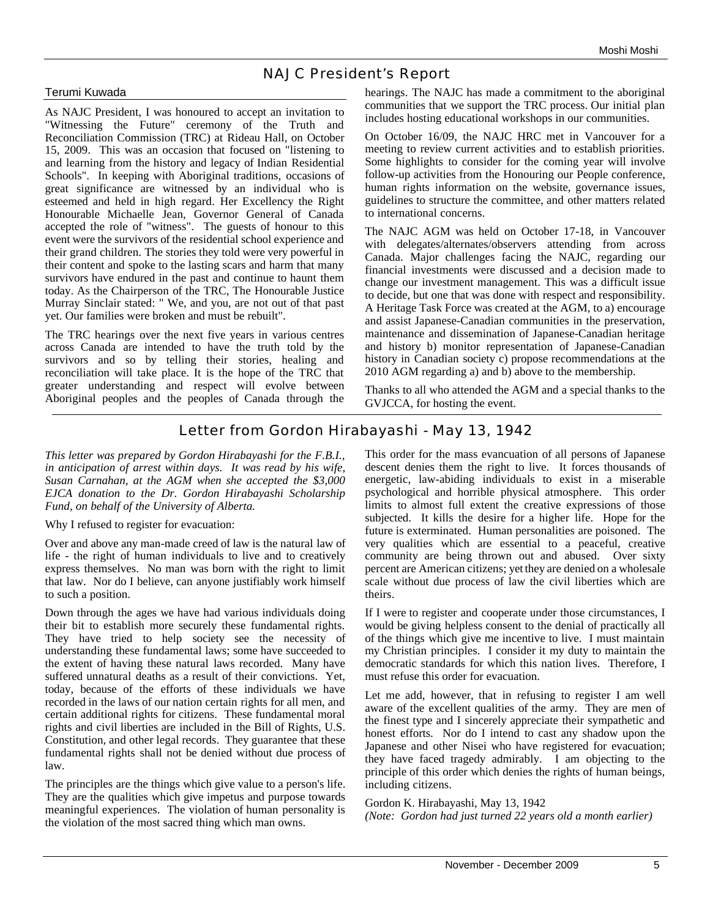# NAJC President's Report

### Terumi Kuwada

As NAJC President, I was honoured to accept an invitation to "Witnessing the Future" ceremony of the Truth and Reconciliation Commission (TRC) at Rideau Hall, on October 15, 2009. This was an occasion that focused on "listening to and learning from the history and legacy of Indian Residential Schools". In keeping with Aboriginal traditions, occasions of great significance are witnessed by an individual who is esteemed and held in high regard. Her Excellency the Right Honourable Michaelle Jean, Governor General of Canada accepted the role of "witness". The guests of honour to this event were the survivors of the residential school experience and their grand children. The stories they told were very powerful in their content and spoke to the lasting scars and harm that many survivors have endured in the past and continue to haunt them today. As the Chairperson of the TRC, The Honourable Justice Murray Sinclair stated: " We, and you, are not out of that past yet. Our families were broken and must be rebuilt".

The TRC hearings over the next five years in various centres across Canada are intended to have the truth told by the survivors and so by telling their stories, healing and reconciliation will take place. It is the hope of the TRC that greater understanding and respect will evolve between Aboriginal peoples and the peoples of Canada through the

hearings. The NAJC has made a commitment to the aboriginal communities that we support the TRC process. Our initial plan includes hosting educational workshops in our communities.

On October 16/09, the NAJC HRC met in Vancouver for a meeting to review current activities and to establish priorities. Some highlights to consider for the coming year will involve follow-up activities from the Honouring our People conference, human rights information on the website, governance issues, guidelines to structure the committee, and other matters related to international concerns.

The NAJC AGM was held on October 17-18, in Vancouver with delegates/alternates/observers attending from across Canada. Major challenges facing the NAJC, regarding our financial investments were discussed and a decision made to change our investment management. This was a difficult issue to decide, but one that was done with respect and responsibility. A Heritage Task Force was created at the AGM, to a) encourage and assist Japanese-Canadian communities in the preservation, maintenance and dissemination of Japanese-Canadian heritage and history b) monitor representation of Japanese-Canadian history in Canadian society c) propose recommendations at the 2010 AGM regarding a) and b) above to the membership.

Thanks to all who attended the AGM and a special thanks to the GVJCCA, for hosting the event.

# Letter from Gordon Hirabayashi - May 13, 1942

*This letter was prepared by Gordon Hirabayashi for the F.B.I., in anticipation of arrest within days. It was read by his wife, Susan Carnahan, at the AGM when she accepted the \$3,000 EJCA donation to the Dr. Gordon Hirabayashi Scholarship Fund, on behalf of the University of Alberta.*

Why I refused to register for evacuation:

Over and above any man-made creed of law is the natural law of life - the right of human individuals to live and to creatively express themselves. No man was born with the right to limit that law. Nor do I believe, can anyone justifiably work himself to such a position.

Down through the ages we have had various individuals doing their bit to establish more securely these fundamental rights. They have tried to help society see the necessity of understanding these fundamental laws; some have succeeded to the extent of having these natural laws recorded. Many have suffered unnatural deaths as a result of their convictions. Yet, today, because of the efforts of these individuals we have recorded in the laws of our nation certain rights for all men, and certain additional rights for citizens. These fundamental moral rights and civil liberties are included in the Bill of Rights, U.S. Constitution, and other legal records. They guarantee that these fundamental rights shall not be denied without due process of law.

The principles are the things which give value to a person's life. They are the qualities which give impetus and purpose towards meaningful experiences. The violation of human personality is the violation of the most sacred thing which man owns.

This order for the mass evancuation of all persons of Japanese descent denies them the right to live. It forces thousands of energetic, law-abiding individuals to exist in a miserable psychological and horrible physical atmosphere. This order limits to almost full extent the creative expressions of those subjected. It kills the desire for a higher life. Hope for the future is exterminated. Human personalities are poisoned. The very qualities which are essential to a peaceful, creative community are being thrown out and abused. Over sixty percent are American citizens; yet they are denied on a wholesale scale without due process of law the civil liberties which are theirs.

If I were to register and cooperate under those circumstances, I would be giving helpless consent to the denial of practically all of the things which give me incentive to live. I must maintain my Christian principles. I consider it my duty to maintain the democratic standards for which this nation lives. Therefore, I must refuse this order for evacuation.

Let me add, however, that in refusing to register I am well aware of the excellent qualities of the army. They are men of the finest type and I sincerely appreciate their sympathetic and honest efforts. Nor do I intend to cast any shadow upon the Japanese and other Nisei who have registered for evacuation; they have faced tragedy admirably. I am objecting to the principle of this order which denies the rights of human beings, including citizens.

Gordon K. Hirabayashi, May 13, 1942 *(Note: Gordon had just turned 22 years old a month earlier)*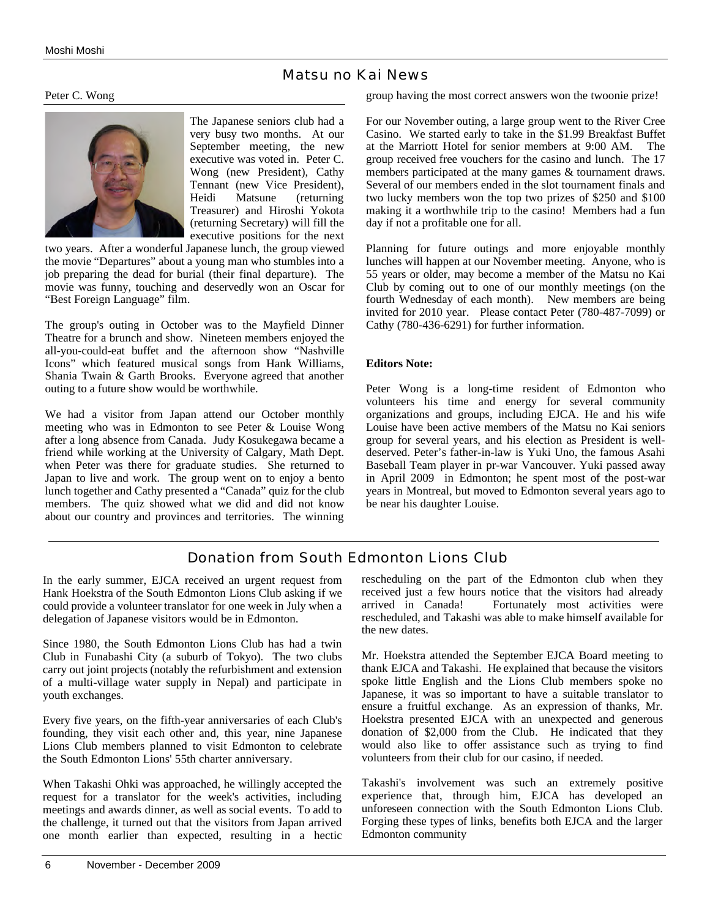# Matsu no Kai News

### Peter C. Wong



The Japanese seniors club had a very busy two months. At our September meeting, the new executive was voted in. Peter C. Wong (new President), Cathy Tennant (new Vice President), Heidi Matsune (returning Treasurer) and Hiroshi Yokota (returning Secretary) will fill the executive positions for the next

two years. After a wonderful Japanese lunch, the group viewed the movie "Departures" about a young man who stumbles into a job preparing the dead for burial (their final departure). The movie was funny, touching and deservedly won an Oscar for "Best Foreign Language" film.

The group's outing in October was to the Mayfield Dinner Theatre for a brunch and show. Nineteen members enjoyed the all-you-could-eat buffet and the afternoon show "Nashville Icons" which featured musical songs from Hank Williams, Shania Twain & Garth Brooks. Everyone agreed that another outing to a future show would be worthwhile.

We had a visitor from Japan attend our October monthly meeting who was in Edmonton to see Peter & Louise Wong after a long absence from Canada. Judy Kosukegawa became a friend while working at the University of Calgary, Math Dept. when Peter was there for graduate studies. She returned to Japan to live and work. The group went on to enjoy a bento lunch together and Cathy presented a "Canada" quiz for the club members. The quiz showed what we did and did not know about our country and provinces and territories. The winning

group having the most correct answers won the twoonie prize!

For our November outing, a large group went to the River Cree Casino. We started early to take in the \$1.99 Breakfast Buffet at the Marriott Hotel for senior members at 9:00 AM. The group received free vouchers for the casino and lunch. The 17 members participated at the many games & tournament draws. Several of our members ended in the slot tournament finals and two lucky members won the top two prizes of \$250 and \$100 making it a worthwhile trip to the casino! Members had a fun day if not a profitable one for all.

Planning for future outings and more enjoyable monthly lunches will happen at our November meeting. Anyone, who is 55 years or older, may become a member of the Matsu no Kai Club by coming out to one of our monthly meetings (on the fourth Wednesday of each month). New members are being invited for 2010 year. Please contact Peter (780-487-7099) or Cathy (780-436-6291) for further information.

#### **Editors Note:**

Peter Wong is a long-time resident of Edmonton who volunteers his time and energy for several community organizations and groups, including EJCA. He and his wife Louise have been active members of the Matsu no Kai seniors group for several years, and his election as President is welldeserved. Peter's father-in-law is Yuki Uno, the famous Asahi Baseball Team player in pr-war Vancouver. Yuki passed away in April 2009 in Edmonton; he spent most of the post-war years in Montreal, but moved to Edmonton several years ago to be near his daughter Louise.

# Donation from South Edmonton Lions Club

In the early summer, EJCA received an urgent request from Hank Hoekstra of the South Edmonton Lions Club asking if we could provide a volunteer translator for one week in July when a delegation of Japanese visitors would be in Edmonton.

Since 1980, the South Edmonton Lions Club has had a twin Club in Funabashi City (a suburb of Tokyo). The two clubs carry out joint projects (notably the refurbishment and extension of a multi-village water supply in Nepal) and participate in youth exchanges.

Every five years, on the fifth-year anniversaries of each Club's founding, they visit each other and, this year, nine Japanese Lions Club members planned to visit Edmonton to celebrate the South Edmonton Lions' 55th charter anniversary.

When Takashi Ohki was approached, he willingly accepted the request for a translator for the week's activities, including meetings and awards dinner, as well as social events. To add to the challenge, it turned out that the visitors from Japan arrived one month earlier than expected, resulting in a hectic

rescheduling on the part of the Edmonton club when they received just a few hours notice that the visitors had already arrived in Canada! Fortunately most activities were Fortunately most activities were rescheduled, and Takashi was able to make himself available for the new dates.

Mr. Hoekstra attended the September EJCA Board meeting to thank EJCA and Takashi. He explained that because the visitors spoke little English and the Lions Club members spoke no Japanese, it was so important to have a suitable translator to ensure a fruitful exchange. As an expression of thanks, Mr. Hoekstra presented EJCA with an unexpected and generous donation of \$2,000 from the Club. He indicated that they would also like to offer assistance such as trying to find volunteers from their club for our casino, if needed.

Takashi's involvement was such an extremely positive experience that, through him, EJCA has developed an unforeseen connection with the South Edmonton Lions Club. Forging these types of links, benefits both EJCA and the larger Edmonton community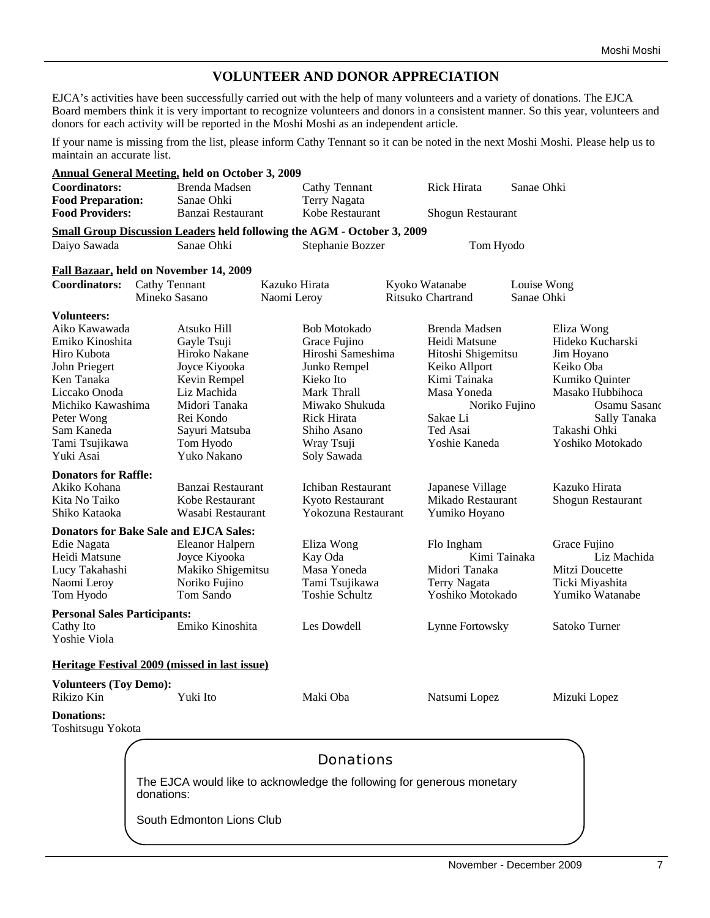# **VOLUNTEER AND DONOR APPRECIATION**

EJCA's activities have been successfully carried out with the help of many volunteers and a variety of donations. The EJCA Board members think it is very important to recognize volunteers and donors in a consistent manner. So this year, volunteers and donors for each activity will be reported in the Moshi Moshi as an independent article.

If your name is missing from the list, please inform Cathy Tennant so it can be noted in the next Moshi Moshi. Please help us to maintain an accurate list.

|                                        |                      | <b>Annual General Meeting, held on October 3, 2009</b>                         |               |                       |                    |               |                   |
|----------------------------------------|----------------------|--------------------------------------------------------------------------------|---------------|-----------------------|--------------------|---------------|-------------------|
| <b>Coordinators:</b>                   |                      | Brenda Madsen                                                                  |               | Cathy Tennant         | Rick Hirata        | Sanae Ohki    |                   |
| <b>Food Preparation:</b>               |                      | Sanae Ohki                                                                     |               | <b>Terry Nagata</b>   |                    |               |                   |
| <b>Food Providers:</b>                 |                      | Banzai Restaurant                                                              |               | Kobe Restaurant       | Shogun Restaurant  |               |                   |
|                                        |                      | <b>Small Group Discussion Leaders held following the AGM - October 3, 2009</b> |               |                       |                    |               |                   |
| Daiyo Sawada                           |                      | Sanae Ohki                                                                     |               | Stephanie Bozzer      | Tom Hyodo          |               |                   |
|                                        |                      | Fall Bazaar, held on November 14, 2009                                         |               |                       |                    |               |                   |
| <b>Coordinators:</b>                   | <b>Cathy Tennant</b> |                                                                                | Kazuko Hirata |                       | Kyoko Watanabe     | Louise Wong   |                   |
|                                        | Mineko Sasano        |                                                                                | Naomi Leroy   |                       | Ritsuko Chartrand  | Sanae Ohki    |                   |
| <b>Volunteers:</b>                     |                      |                                                                                |               |                       |                    |               |                   |
| Aiko Kawawada                          |                      | Atsuko Hill                                                                    |               | <b>Bob Motokado</b>   | Brenda Madsen      |               | Eliza Wong        |
| Emiko Kinoshita                        |                      | Gayle Tsuji                                                                    |               | Grace Fujino          | Heidi Matsune      |               | Hideko Kucharski  |
| Hiro Kubota                            |                      | Hiroko Nakane                                                                  |               | Hiroshi Sameshima     | Hitoshi Shigemitsu |               | Jim Hoyano        |
| John Priegert                          |                      | Joyce Kiyooka                                                                  |               | Junko Rempel          | Keiko Allport      |               | Keiko Oba         |
| Ken Tanaka                             |                      | Kevin Rempel                                                                   |               | Kieko Ito             | Kimi Tainaka       |               | Kumiko Quinter    |
| Liccako Onoda                          |                      | Liz Machida                                                                    |               |                       |                    |               |                   |
|                                        |                      |                                                                                |               | Mark Thrall           | Masa Yoneda        |               | Masako Hubbihoca  |
| Michiko Kawashima                      |                      | Midori Tanaka                                                                  |               | Miwako Shukuda        |                    | Noriko Fujino | Osamu Sasano      |
| Peter Wong                             |                      | Rei Kondo                                                                      |               | Rick Hirata           | Sakae Li           |               | Sally Tanaka      |
| Sam Kaneda                             |                      | Sayuri Matsuba                                                                 |               | Shiho Asano           | Ted Asai           |               | Takashi Ohki      |
| Tami Tsujikawa                         |                      | Tom Hyodo                                                                      |               | Wray Tsuji            | Yoshie Kaneda      |               | Yoshiko Motokado  |
| Yuki Asai                              |                      | Yuko Nakano                                                                    |               | Soly Sawada           |                    |               |                   |
| <b>Donators for Raffle:</b>            |                      |                                                                                |               |                       |                    |               |                   |
| Akiko Kohana                           |                      | Banzai Restaurant                                                              |               | Ichiban Restaurant    | Japanese Village   |               | Kazuko Hirata     |
| Kita No Taiko                          |                      | Kobe Restaurant                                                                |               | Kyoto Restaurant      | Mikado Restaurant  |               | Shogun Restaurant |
| Shiko Kataoka                          |                      | Wasabi Restaurant                                                              |               | Yokozuna Restaurant   | Yumiko Hoyano      |               |                   |
|                                        |                      | <b>Donators for Bake Sale and EJCA Sales:</b>                                  |               |                       |                    |               |                   |
| Edie Nagata                            |                      | Eleanor Halpern                                                                |               | Eliza Wong            | Flo Ingham         |               | Grace Fujino      |
| Heidi Matsune                          |                      | Joyce Kiyooka                                                                  |               | Kay Oda               |                    | Kimi Tainaka  | Liz Machida       |
| Lucy Takahashi                         |                      | Makiko Shigemitsu                                                              |               | Masa Yoneda           | Midori Tanaka      |               | Mitzi Doucette    |
| Naomi Leroy                            |                      | Noriko Fujino                                                                  |               | Tami Tsujikawa        | Terry Nagata       |               | Ticki Miyashita   |
| Tom Hyodo                              |                      | Tom Sando                                                                      |               | <b>Toshie Schultz</b> | Yoshiko Motokado   |               | Yumiko Watanabe   |
| <b>Personal Sales Participants:</b>    |                      |                                                                                |               |                       |                    |               |                   |
| Cathy Ito                              |                      | Emiko Kinoshita                                                                |               | Les Dowdell           | Lynne Fortowsky    |               | Satoko Turner     |
| Yoshie Viola                           |                      |                                                                                |               |                       |                    |               |                   |
|                                        |                      | Heritage Festival 2009 (missed in last issue)                                  |               |                       |                    |               |                   |
| <b>Volunteers (Toy Demo):</b>          |                      |                                                                                |               |                       |                    |               |                   |
| Rikizo Kin                             |                      | Yuki Ito                                                                       |               | Maki Oba              | Natsumi Lopez      |               | Mizuki Lopez      |
| <b>Donations:</b><br>Toshitsugu Yokota |                      |                                                                                |               |                       |                    |               |                   |
|                                        |                      |                                                                                |               |                       |                    |               |                   |
|                                        |                      |                                                                                |               | Donations             |                    |               |                   |
|                                        |                      | The EJCA would like to acknowledge the following for generous monetary         |               |                       |                    |               |                   |
|                                        | donations:           |                                                                                |               |                       |                    |               |                   |
|                                        |                      |                                                                                |               |                       |                    |               |                   |
|                                        |                      | South Edmonton Lions Club                                                      |               |                       |                    |               |                   |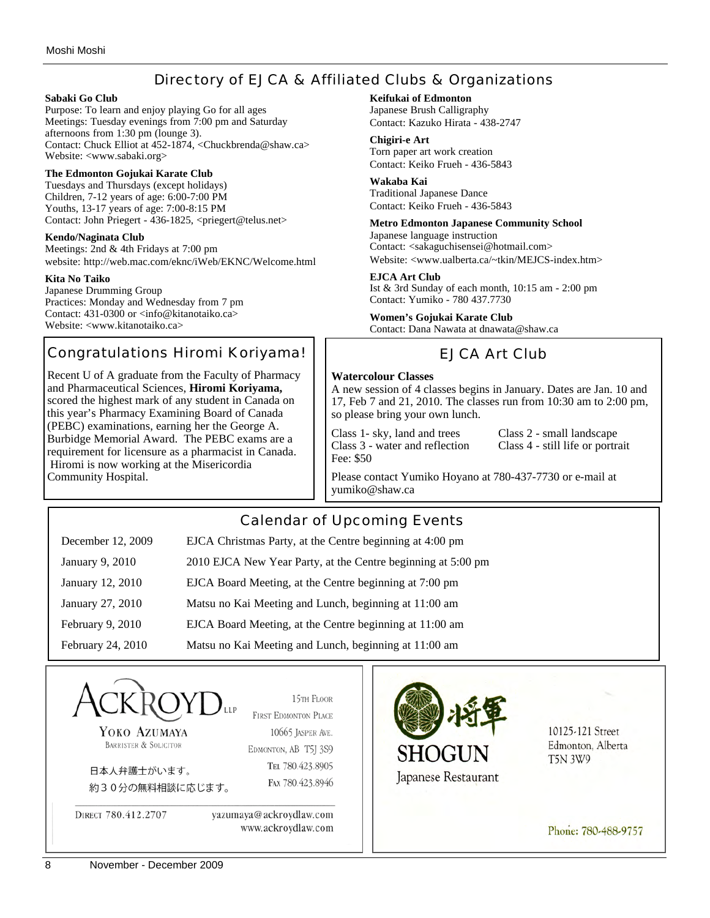# Directory of EJCA & Affiliated Clubs & Organizations

#### **Sabaki Go Club**

Purpose: To learn and enjoy playing Go for all ages Meetings: Tuesday evenings from 7:00 pm and Saturday afternoons from 1:30 pm (lounge 3). Contact: Chuck Elliot at 452-1874, <Chuckbrenda@shaw.ca> Website: <www.sabaki.org>

#### **The Edmonton Gojukai Karate Club**

Tuesdays and Thursdays (except holidays) Children, 7-12 years of age: 6:00-7:00 PM Youths, 13-17 years of age: 7:00-8:15 PM Contact: John Priegert - 436-1825, <priegert@telus.net>

#### **Kendo/Naginata Club**

Meetings: 2nd & 4th Fridays at 7:00 pm website: http://web.mac.com/eknc/iWeb/EKNC/Welcome.html

#### **Kita No Taiko**

Japanese Drumming Group Practices: Monday and Wednesday from 7 pm Contact: 431-0300 or <info@kitanotaiko.ca> Website: <www.kitanotaiko.ca>

# Congratulations Hiromi Koriyama!

Recent U of A graduate from the Faculty of Pharmacy and Pharmaceutical Sciences, **Hiromi Koriyama,**  scored the highest mark of any student in Canada on this year's Pharmacy Examining Board of Canada (PEBC) examinations, earning her the George A. Burbidge Memorial Award. The PEBC exams are a requirement for licensure as a pharmacist in Canada. Hiromi is now working at the Misericordia Community Hospital.

#### **Keifukai of Edmonton**

Japanese Brush Calligraphy Contact: Kazuko Hirata - 438-2747

#### **Chigiri-e Art**

Torn paper art work creation Contact: Keiko Frueh - 436-5843

#### **Wakaba Kai**

Traditional Japanese Dance Contact: Keiko Frueh - 436-5843

#### **Metro Edmonton Japanese Community School**

Japanese language instruction Contact: <sakaguchisensei@hotmail.com> Website: <www.ualberta.ca/~tkin/MEJCS-index.htm>

#### **EJCA Art Club**

Ist & 3rd Sunday of each month, 10:15 am - 2:00 pm Contact: Yumiko - 780 437.7730

**Women's Gojukai Karate Club** Contact: Dana Nawata at dnawata@shaw.ca

# EJCA Art Club

#### **Watercolour Classes**

A new session of 4 classes begins in January. Dates are Jan. 10 and 17, Feb 7 and 21, 2010. The classes run from 10:30 am to 2:00 pm, so please bring your own lunch.

Class 1- sky, land and trees Class 2 - small landscape Fee: \$50

Class 3 - water and reflection Class 4 - still life or portrait

Please contact Yumiko Hoyano at 780-437-7730 or e-mail at yumiko@shaw.ca

# Calendar of Upcoming Events

| December 12, 2009 | EJCA Christmas Party, at the Centre beginning at 4:00 pm     |
|-------------------|--------------------------------------------------------------|
| January 9, 2010   | 2010 EJCA New Year Party, at the Centre beginning at 5:00 pm |
| January 12, 2010  | EJCA Board Meeting, at the Centre beginning at 7:00 pm       |
| January 27, 2010  | Matsu no Kai Meeting and Lunch, beginning at 11:00 am        |
| February 9, 2010  | EJCA Board Meeting, at the Centre beginning at 11:00 am      |
| February 24, 2010 | Matsu no Kai Meeting and Lunch, beginning at 11:00 am        |

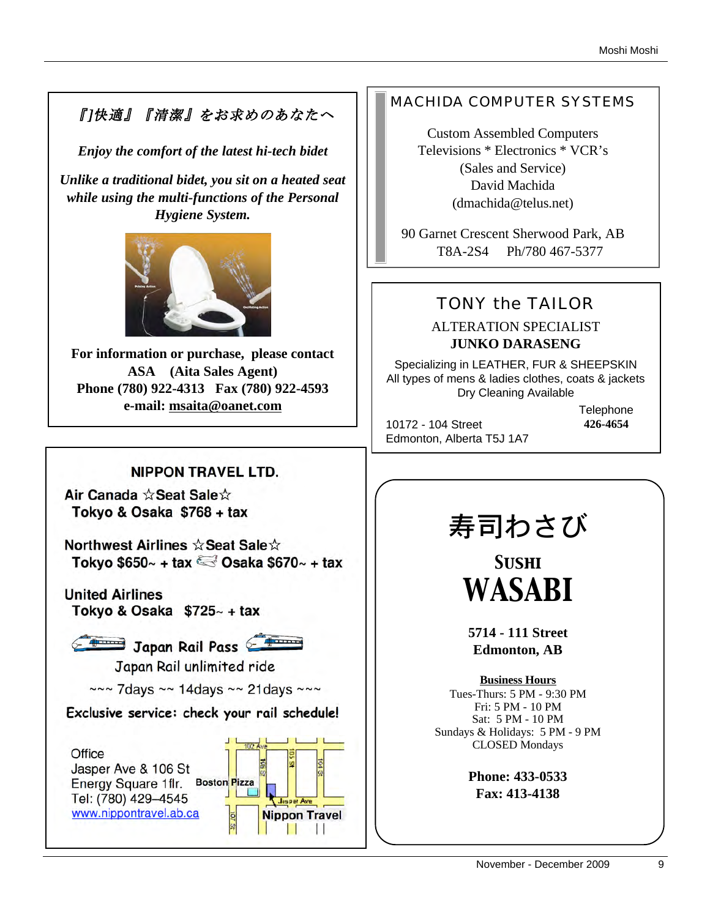# 『]快適』『清潔』をお求めのあなたへ

*Enjoy the comfort of the latest hi-tech bidet*

*Unlike a traditional bidet, you sit on a heated seat while using the multi-functions of the Personal Hygiene System.* 



**For information or purchase, please contact ASA (Aita Sales Agent) Phone (780) 922-4313 Fax (780) 922-4593 e-mail: msaita@oanet.com**

# **NIPPON TRAVEL LTD.**

Air Canada ☆ Seat Sale☆ Tokyo & Osaka \$768 + tax

Northwest Airlines ☆ Seat Sale☆ Tokyo \$650 $\sim$  + tax  $\approx$  Osaka \$670 $\sim$  + tax

**United Airlines** Tokyo & Osaka \$725~ + tax



Japan Rail Pass -

Japan Rail unlimited ride

 $\sim$ ~ 7days ~~ 14days ~~ 21days ~~~

Exclusive service: check your rail schedule!



# MACHIDA COMPUTER SYSTEMS

Custom Assembled Computers Televisions \* Electronics \* VCR's (Sales and Service) David Machida (dmachida@telus.net)

90 Garnet Crescent Sherwood Park, AB T8A-2S4 Ph/780 467-5377

# TONY the TAILOR

# ALTERATION SPECIALIST **JUNKO DARASENG**

Specializing in LEATHER, FUR & SHEEPSKIN All types of mens & ladies clothes, coats & jackets Dry Cleaning Available

10172 - 104 Street Edmonton, Alberta T5J 1A7 **Telephone 426-4654**

寿司わさび

*Sushi WASABI*

**5714 - 111 Street Edmonton, AB**

**Business Hours** Tues-Thurs: 5 PM - 9:30 PM Fri: 5 PM - 10 PM Sat: 5 PM - 10 PM Sundays & Holidays: 5 PM - 9 PM CLOSED Mondays

> **Phone: 433-0533 Fax: 413-4138**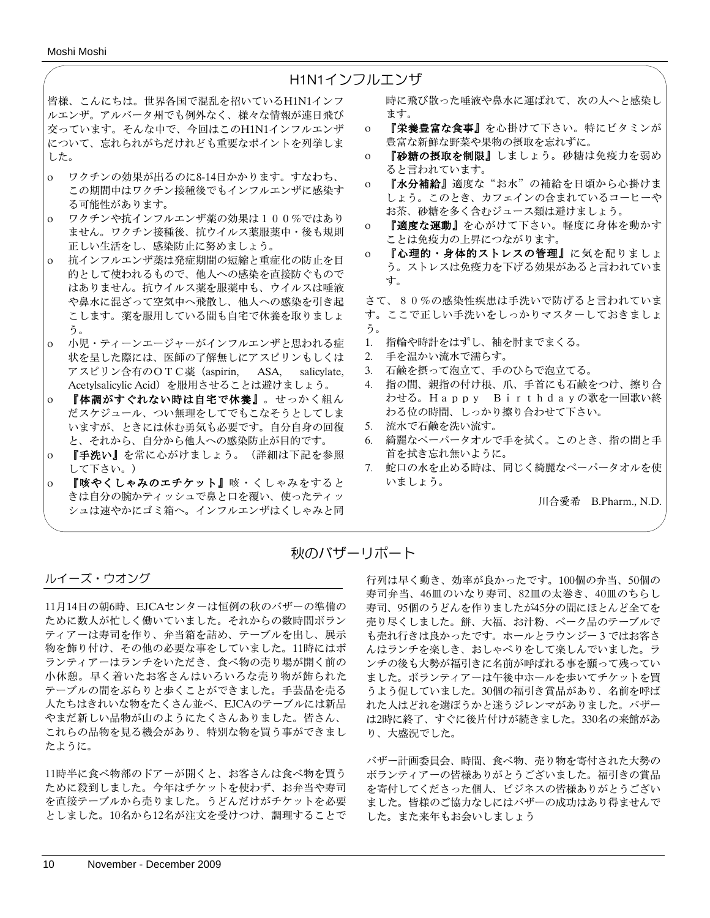# H1N1インフルエンザ

皆様、こんにちは。世界各国で混乱を招いているH1N1インフ ルエンザ。アルバータ州でも例外なく、様々な情報が連日飛び 交っています。そんな中で、今回はこのH1N1インフルエンザ について、忘れられがちだけれども重要なポイントを列挙しま した。

- o ワクチンの効果が出るのに8-14日かかります。すなわち、 この期間中はワクチン接種後でもインフルエンザに感染す る可能性があります。
- o ワクチンや抗インフルエンザ薬の効果は100%ではあり ません。ワクチン接種後、抗ウイルス薬服薬中・後も規則 正しい生活をし、感染防止に努めましょう。
- o 抗インフルエンザ薬は発症期間の短縮と重症化の防止を目 的として使われるもので、他人への感染を直接防ぐもので はありません。抗ウイルス薬を服薬中も、ウイルスは唾液 や鼻水に混ざって空気中へ飛散し、他人への感染を引き起 こします。薬を服用している間も自宅で休養を取りましょ う。
- o 小児・ティーンエージャーがインフルエンザと思われる症 状を呈した際には、医師の了解無しにアスピリンもしくは アスピリン含有のOTC薬(aspirin, ASA, salicylate, Acetylsalicylic Acid)を服用させることは避けましょう。
- o 『体調がすぐれない時は自宅で休養』。せっかく組ん だスケジュール、つい無理をしてでもこなそうとしてしま いますが、ときには休む勇気も必要です。自分自身の回復 と、それから、自分から他人への感染防止が目的です。
- o 『手洗い』を常に心がけましょう。(詳細は下記を参照 して下さい。)
- o 『咳やくしゃみのエチケット』咳・くしゃみをすると きは自分の腕かティッシュで鼻と口を覆い、使ったティッ シュは速やかにゴミ箱へ。インフルエンザはくしゃみと同

時に飛び散った唾液や鼻水に運ばれて、次の人へと感染し ます。

- o 『栄養豊富な食事』を心掛けて下さい。特にビタミンが 豊富な新鮮な野菜や果物の摂取を忘れずに。
- o 『砂糖の摂取を制限』しましょう。砂糖は免疫力を弱め ると言われています。
- o 『水分補給』適度な"お水"の補給を日頃から心掛けま しょう。このとき、カフェインの含まれているコーヒーや お茶、砂糖を多く含むジュース類は避けましょう。
- o 『適度な運動』を心がけて下さい。軽度に身体を動かす ことは免疫力の上昇につながります。
- o 『心理的・身体的ストレスの管理』に気を配りましょ う。ストレスは免疫力を下げる効果があると言われていま す。

さて、80%の感染性疾患は手洗いで防げると言われていま

- す。ここで正しい手洗いをしっかりマスターしておきましょ う。
- 1. 指輪や時計をはずし、袖を肘までまくる。
- 2. 手を温かい流水で濡らす。
- 3. 石鹸を摂って泡立て、手のひらで泡立てる。
- 4. 指の間、親指の付け根、爪、手首にも石鹸をつけ、擦り合 わせる。Happy Birthdayの歌を一回歌い終 わる位の時間、しっかり擦り合わせて下さい。
- 5. 流水で石鹸を洗い流す。
- 6. 綺麗なペーパータオルで手を拭く。このとき、指の間と手 首を拭き忘れ無いように。
- 7. 蛇口の水を止める時は、同じく綺麗なペーパータオルを使 いましょう。

川合愛希 B.Pharm., N.D.

# 秋のバザーリポート

ルイーズ・ウオング

11月14日の朝6時、EJCAセンターは恒例の秋のバザーの準備の ために数人が忙しく働いていました。それからの数時間ボラン ティアーは寿司を作り、弁当箱を詰め、テーブルを出し、展示 物を飾り付け、その他の必要な事をしていました。11時にはボ ランティアーはランチをいただき、食べ物の売り場が開く前の 小休憩。早く着いたお客さんはいろいろな売り物が飾られた テーブルの間をぶらりと歩くことができました。手芸品を売る 人たちはきれいな物をたくさん並べ、EJCAのテーブルには新品 やまだ新しい品物が山のようにたくさんありました。皆さん、 これらの品物を見る機会があり、特別な物を買う事ができまし たように。

11時半に食べ物部のドアーが開くと、お客さんは食べ物を買う ために殺到しました。今年はチケットを使わず、お弁当や寿司 を直接テーブルから売りました。うどんだけがチケットを必要 としました。10名から12名が注文を受けつけ、調理することで 行列は早く動き、効率が良かったです。100個の弁当、50個の 寿司弁当、46皿のいなり寿司、82皿の太巻き、40皿のちらし 寿司、95個のうどんを作りましたが45分の間にほとんど全てを 売り尽くしました。餅、大福、お汁粉、ベーク品のテーブルで も売れ行きは良かったです。ホールとラウンジー3ではお客さ んはランチを楽しき、おしゃべりをして楽しんでいました。ラ ンチの後も大勢が福引きに名前が呼ばれる事を願って残ってい ました。ボランティアーは午後中ホールを歩いてチケットを買 うよう促していました。30個の福引き賞品があり、名前を呼ば れた人はどれを選ぼうかと迷うジレンマがありました。バザー は2時に終了、すぐに後片付けが続きました。330名の来館があ り、大盛況でした。

バザー計画委員会、時間、食べ物、売り物を寄付された大勢の ボランティアーの皆様ありがとうございました。福引きの賞品 を寄付してくださった個人、ビジネスの皆様ありがとうござい ました。皆様のご協力なしにはバザーの成功はあり得ませんで した。また来年もお会いしましょう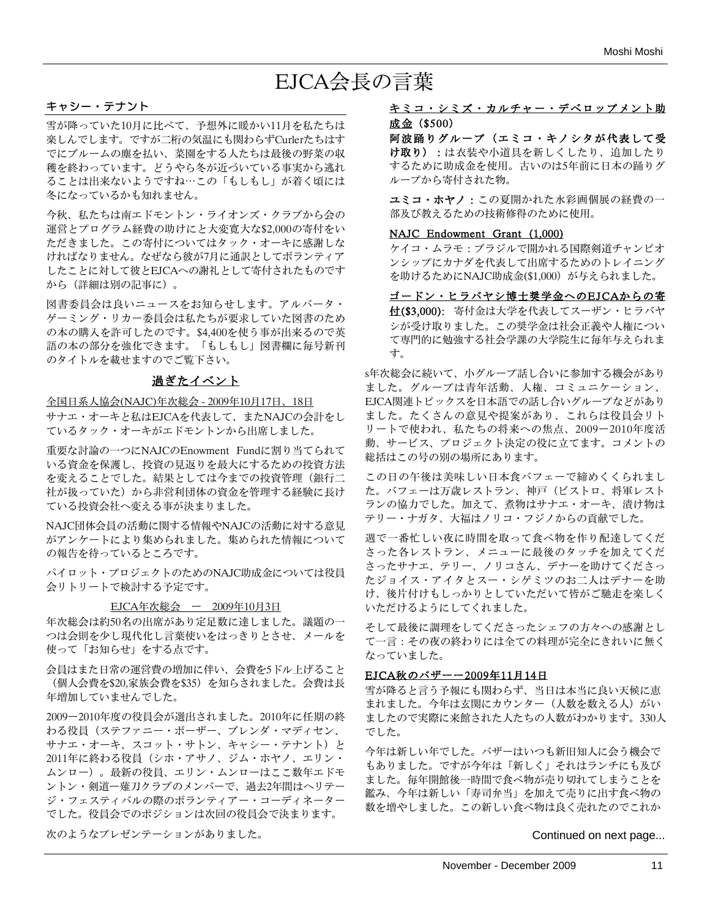# EJCA会長の言葉

#### キャシー・テナント

雪が降っていた10月に比べて、予想外に暖かい11月を私たちは 楽しんでします。ですが二桁の気温にも関わらずCurlerたちはす でにブルームの塵を払い、菜園をする人たちは最後の野菜の収 穫を終わっています。どうやら冬が近づいている事実から逃れ ることは出来ないようですね⋯この「もしもし」が着く頃には 冬になっているかも知れません。

今秋、私たちは南エドモントン・ライオンズ・クラブから会の 運営とプログラム経費の助けにと大変寛大な\$2,000の寄付をい ただきました。この寄付についてはタック・オーキに感謝しな ければなりません。なぜなら彼が7月に通訳としてボランティア したことに対して彼とEJCAへの謝礼として寄付されたものです から(詳細は別の記事に)。

図書委員会は良いニュースをお知らせします。アルバータ・ ゲーミング・リカー委員会は私たちが要求していた図書のため の本の購入を許可したのです。\$4,400を使う事が出来るので英 語の本の部分を強化できます。「もしもし」図書欄に毎号新刊 のタイトルを載せますのでご覧下さい。

#### 過ぎたイベント

#### 全国日系人協会(NAJC)年次総会 - 2009年10月17日、18日

サナエ・オーキと私はEJCAを代表して、またNAJCの会計をし ているタック・オーキがエドモントンから出席しました。

重要な討論の一つにNAJCのEnowment Fundに割り当てられて いる資金を保護し、投資の見返りを最大にするための投資方法 を変えることでした。結果としては今までの投資管理(銀行二 社が扱っていた)から非営利団体の資金を管理する経験に長け ている投資会社へ変える事が決まりました。

NAJC団体会員の活動に関する情報やNAJCの活動に対する意見 がアンケートにより集められました。集められた情報について の報告を待っているところです。

パイロット・プロジェクトのためのNAJC助成金については役員 会リトリートで検討する予定です。

#### EJCA年次総会 ー 2009年10月3日

年次総会は約50名の出席があり定足数に達しました。議題の一 つは会則を少し現代化し言葉使いをはっきりとさせ、メールを 使って「お知らせ」をする点です。

会員はまた日常の運営費の増加に伴い、会費を5ドル上げること (個人会費を\$20,家族会費を\$35)を知らされました。会費は長 年増加していませんでした。

2009ー2010年度の役員会が選出されました。2010年に任期の終 わる役員(ステファニー・ボーザー、ブレンダ・マディセン、 サナエ・オーキ、スコット・サトン、キャシー・テナント)と 2011年に終わる役員(シホ・アサノ、ジム・ホヤノ、エリン・ ムンロー)。最新の役員、エリン・ムンローはここ数年エドモ ントン・剣道ー薙刀クラブのメンバーで、過去2年間はへリテー ジ・フェスティバルの際のボランティアー・コーディネーター でした。役員会でのポジションは次回の役員会で決まります。

次のようなプレゼンテーションがありました。

#### キミコ・シミズ・カルチャー・デベロップメント助 成金(\$500)

阿波踊りグループ(エミコ・キノシタが代表して受 け取り):は衣装や小道具を新しくしたり、追加したり するために助成金を使用。古いのは5年前に日本の踊りグ ループから寄付された物。

ユミコ・ホヤノ:この夏開かれた水彩画個展の経費の一 部及び教えるための技術修得のために使用。

#### NAJC Endowment Grant (1,000)

ケイコ・ムラモ:ブラジルで開かれる国際剣道チャンピオ ンシップにカナダを代表して出席するためのトレイニング を助けるためにNAJC助成金(\$1,000)が与えられました。

ゴードン・ヒラバヤシ博士奨学金へのEJCAからの寄 付(\$3,000): 寄付金は大学を代表してスーザン・ヒラバヤ シが受け取りました。この奨学金は社会正義や人権につい て専門的に勉強する社会学課の大学院生に毎年与えられま す。

s年次総会に続いて、小グループ話し合いに参加する機会があり ました。グループは青年活動、人権、コミュニケーション、 EJCA関連トピックスを日本語での話し合いグループなどがあり ました。たくさんの意見や提案があり、これらは役員会リト リートで使われ、私たちの将来への焦点、2009ー2010年度活 動、サービス、プロジェクト決定の役に立てます。コメントの 総括はこの号の別の場所にあります。

この日の午後は美味しい日本食バフェーで締めくくられまし た。バフェーは万歳レストラン、神戸(ビストロ、将軍レスト ランの協力でした。加えて、煮物はサナエ・オーキ、漬け物は テリー・ナガタ、大福はノリコ・フジノからの貢献でした。

週で一番忙しい夜に時間を取って食べ物を作り配達してくだ さった各レストラン、メニューに最後のタッチを加えてくだ さったサナエ、テリー、ノリコさん、デナーを助けてくださっ たジョイス・アイタとスー・シゲミツのお二人はデナーを助 け、後片付けもしっかりとしていただいて皆がご馳走を楽しく いただけるようにしてくれました。

そして最後に調理をしてくださったシェフの方々への感謝とし て一言:その夜の終わりには全ての料理が完全にきれいに無く なっていました。

#### EJCA秋のバザーー2009年11月14日

雪が降ると言う予報にも関わらず、当日は本当に良い天候に恵 まれました。今年は玄関にカウンター(人数を数える人)がい ましたので実際に来館された人たちの人数がわかります。330人 でした。

今年は新しい年でした。バザーはいつも新旧知人に会う機会で もありました。ですが今年は「新しく」それはランチにも及び ました。毎年開館後一時間で食べ物が売り切れてしまうことを 鑑み、今年は新しい「寿司弁当」を加えて売りに出す食べ物の 数を増やしました。この新しい食べ物は良く売れたのでこれか

Continued on next page...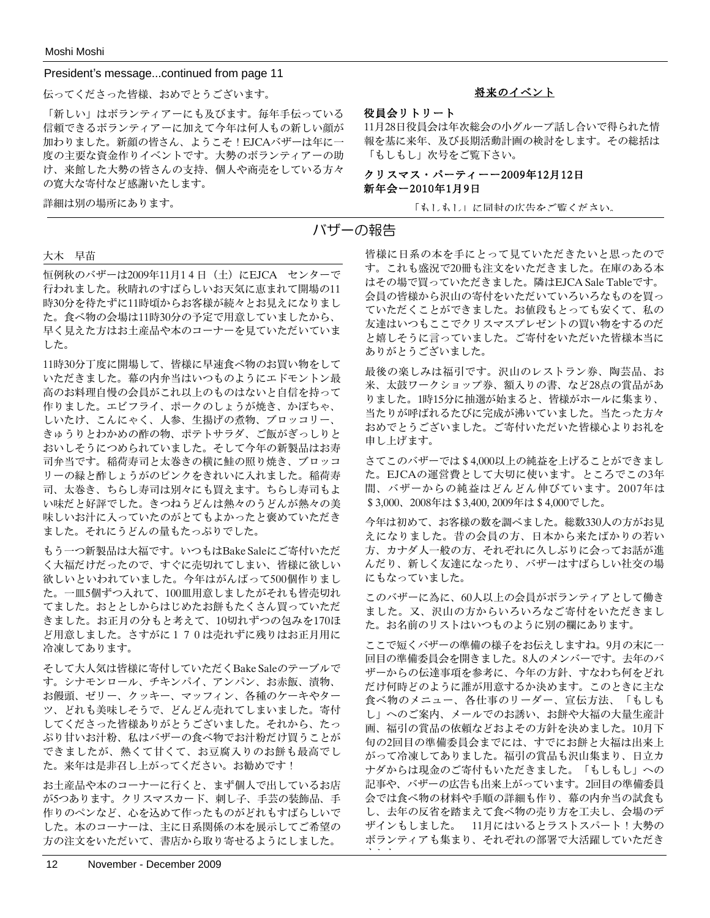#### President's message...continued from page 11

伝ってくださった皆様、おめでとうございます。

「新しい」はボランティアーにも及びます。毎年手伝っている 信頼できるボランティアーに加えて今年は何人もの新しい顔が 加わりました。新顔の皆さん、ようこそ!EJCAバザーは年に一 度の主要な資金作りイベントです。大勢のボランティアーの助 け、来館した大勢の皆さんの支持、個人や商売をしている方々 の寛大な寄付など感謝いたします。

詳細は別の場所にあります。

#### 将来のイベント

#### 役員会リトリート

11月28日役員会は年次総会の小グループ話し合いで得られた情 報を基に来年、及び長期活動計画の検討をします。その総括は 「もしもし」次号をご覧下さい。

#### クリスマス・パーティーー2009年12月12日 新年会ー2010年1月9日

「もしもし」に同封の広告をご覧ください。

# バザーの報告

#### 大木 早苗

恒例秋のバザーは2009年11月14日(土)にEJCA センターで 行われました。秋晴れのすばらしいお天気に恵まれて開場の11 時30分を待たずに11時頃からお客様が続々とお見えになりまし た。食べ物の会場は11時30分の予定で用意していましたから、 早く見えた方はお土産品や本のコーナーを見ていただいていま した。

11時30分丁度に開場して、皆様に早速食べ物のお買い物をして いただきました。幕の内弁当はいつものようにエドモントン最 高のお料理自慢の会員がこれ以上のものはないと自信を持って 作りました。エビフライ、ポークのしょうが焼き、かぼちゃ、 しいたけ、こんにゃく、人参、生揚げの煮物、ブロッコリー、 きゅうりとわかめの酢の物、ポテトサラダ、ご飯がぎっしりと おいしそうにつめられていました。そして今年の新製品はお寿 司弁当です。稲荷寿司と太巻きの横に鮭の照り焼き、ブロッコ リーの緑と酢しょうがのピンクをきれいに入れました。稲荷寿 司、太巻き、ちらし寿司は別々にも買えます。ちらし寿司もよ い味だと好評でした。きつねうどんは熱々のうどんが熱々の美 味しいお汁に入っていたのがとてもよかったと褒めていただき ました。それにうどんの量もたっぷりでした。

もう一つ新製品は大福です。いつもはBake Saleにご寄付いただ く大福だけだったので、すぐに売切れてしまい、皆様に欲しい 欲しいといわれていました。今年はがんばって500個作りまし た。一皿5個ずつ入れて、100皿用意しましたがそれも皆売切れ てました。おととしからはじめたお餅もたくさん買っていただ きました。お正月の分もと考えて、10切れずつの包みを170ほ ど用意しました。さすがに170は売れずに残りはお正月用に 冷凍してあります。

そして大人気は皆様に寄付していただくBake Saleのテーブルで す。シナモンロール、チキンパイ、アンパン、お赤飯、漬物、 お饅頭、ゼリー、クッキー、マッフィン、各種のケーキやター ツ、どれも美味しそうで、どんどん売れてしまいました。寄付 してくださった皆様ありがとうございました。それから、たっ ぷり甘いお汁粉、私はバザーの食べ物でお汁粉だけ買うことが できましたが、熱くて甘くて、お豆腐入りのお餅も最高でし た。来年は是非召し上がってください。お勧めです!

お土産品や本のコーナーに行くと、まず個人で出しているお店 が5つあります。クリスマスカード、刺し子、手芸の装飾品、手 作りのペンなど、心を込めて作ったものがどれもすばらしいで した。本のコーナーは、主に日系関係の本を展示してご希望の 方の注文をいただいて、書店から取り寄せるようにしました。

皆様に日系の本を手にとって見ていただきたいと思ったので す。これも盛況で20冊も注文をいただきました。在庫のある本 はその場で買っていただきました。隣はEJCA Sale Tableです。 会員の皆様から沢山の寄付をいただいていろいろなものを買っ ていただくことができました。お値段もとっても安くて、私の 友達はいつもここでクリスマスプレゼントの買い物をするのだ と嬉しそうに言っていました。ご寄付をいただいた皆様本当に ありがとうございました。

最後の楽しみは福引です。沢山のレストラン券、陶芸品、お 米、太鼓ワークショップ券、額入りの書、など28点の賞品があ りました。1時15分に抽選が始まると、皆様がホールに集まり、 当たりが呼ばれるたびに完成が沸いていました。当たった方々 おめでとうございました。ご寄付いただいた皆様心よりお礼を 申し上げます。

さてこのバザーでは\$4,000以上の純益を上げることができまし た。EJCAの運営費として大切に使います。ところでこの3年 間、バザーからの純益はどんどん伸びています。2007年は \$3,000、2008年は\$3,400, 2009年は\$4,000でした。

今年は初めて、お客様の数を調べました。総数330人の方がお見 えになりました。昔の会員の方、日本から来たばかりの若い 方、カナダ人一般の方、それぞれに久しぶりに会ってお話が進 んだり、新しく友達になったり、バザーはすばらしい社交の場 にもなっていました。

このバザーに為に、60人以上の会員がボランティアとして働き ました。又、沢山の方からいろいろなご寄付をいただきまし た。お名前のリストはいつものように別の欄にあります。

ここで短くバザーの準備の様子をお伝えしますね。9月の末に一 回目の準備委員会を開きました。8人のメンバーです。去年のバ ザーからの伝達事項を参考に、今年の方針、すなわち何をどれ だけ何時どのように誰が用意するか決めます。このときに主な 食べ物のメニュー、各仕事のリーダー、宣伝方法、「もしも し」へのご案内、メールでのお誘い、お餅や大福の大量生産計 画、福引の賞品の依頼などおよその方針を決めました。10月下 旬の2回目の準備委員会までには、すでにお餅と大福は出来上 がって冷凍してありました。福引の賞品も沢山集まり、日立カ ナダからは現金のご寄付もいただきました。「もしもし」への 記事や、バザーの広告も出来上がっています。2回目の準備委員 会では食べ物の材料や手順の詳細も作り、幕の内弁当の試食も し、去年の反省を踏まえて食べ物の売り方を工夫し、会場のデ ザインもしました。 11月にはいるとラストスパート!大勢の ボランティアも集まり、それぞれの部署で大活躍していただき  $2.5<sup>o</sup>$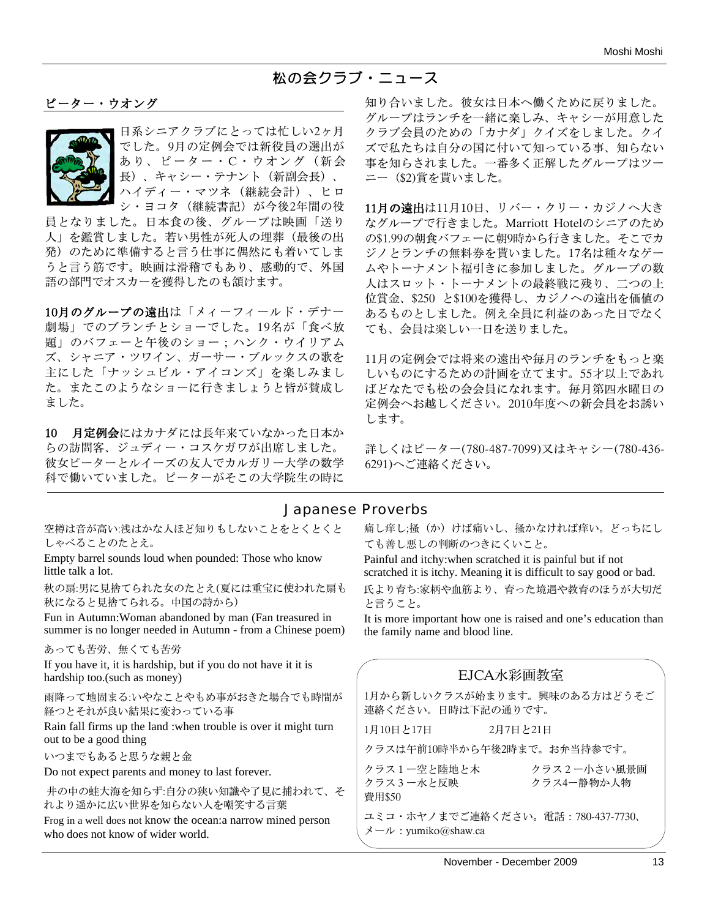# 松の会クラブ・ニュース

ピーター・ウオング



日系シニアクラブにとっては忙しい2ヶ月 でした。9月の定例会では新役員の選出が あり、ピーター・C・ウオング(新会 長)、キャシー・テナント(新副会長)、 ハイディー・マツネ(継続会計)、ヒロ

シ・ヨコタ (継続書記)が今後2年間の役 員となりました。日本食の後、グループは映画「送り 人」を鑑賞しました。若い男性が死人の埋葬(最後の出 発)のために準備すると言う仕事に偶然にも着いてしま うと言う筋です。映画は滑稽でもあり、感動的で、外国 語の部門でオスカーを獲得したのも頷けます。

10月のグループの遠出は「メィーフィールド・デナー 劇場」でのブランチとショーでした。19名が「食べ放 題」のバフェーと午後のショー;ハンク・ウイリアム ズ、シャニア・ツワイン、ガーサー・ブルックスの歌を 主にした「ナッシュビル・アイコンズ」を楽しみまし た。またこのようなショーに行きましょうと皆が賛成し ました。

10 月定例会にはカナダには長年来ていなかった日本か らの訪問客、ジュディー・コスケガワが出席しました。 彼女ピーターとルイーズの友人でカルガリー大学の数学 科で働いていました。ピーターがそこの大学院生の時に 知り合いました。彼女は日本へ働くために戻りました。 グループはランチを一緒に楽しみ、キャシーが用意した クラブ会員のための「カナダ」クイズをしました。クイ ズで私たちは自分の国に付いて知っている事、知らない 事を知らされました。一番多く正解したグループはツー ニー(\$2)賞を貰いました。

11月の遠出は11月10日、リバー・クリー・カジノへ大き なグループで行きました。Marriott Hotelのシニアのため の\$1.99の朝食バフェーに朝9時から行きました。そこでカ ジノとランチの無料券を貰いました。17名は種々なゲー ムやトーナメント福引きに参加しました。グループの数 人はスロット・トーナメントの最終戦に残り、二つの上 位賞金、\$250 と\$100を獲得し、カジノへの遠出を価値の あるものとしました。例え全員に利益のあった日でなく ても、会員は楽しい一日を送りました。

11月の定例会では将来の遠出や毎月のランチをもっと楽 しいものにするための計画を立てます。55才以上であれ ばどなたでも松の会会員になれます。毎月第四水曜日の 定例会へお越しください。2010年度への新会員をお誘い します。

詳しくはピーター(780-487-7099)又はキャシー(780-436- 6291)へご連絡ください。

### Japanese Proverbs

空樽は音が高い:浅はかな人ほど知りもしないことをとくとくと しゃべることのたとえ。

Empty barrel sounds loud when pounded: Those who know little talk a lot.

秋の扇:男に見捨てられた女のたとえ(夏には重宝に使われた扇も 秋になると見捨てられる。中国の詩から)

Fun in Autumn:Woman abandoned by man (Fan treasured in summer is no longer needed in Autumn - from a Chinese poem)

あっても苦労、無くても苦労

If you have it, it is hardship, but if you do not have it it is hardship too.(such as money)

雨降って地固まる:いやなことやもめ事がおきた場合でも時間が 経つとそれが良い結果に変わっている事

Rain fall firms up the land :when trouble is over it might turn out to be a good thing

いつまでもあると思うな親と金

Do not expect parents and money to last forever.

井の中の蛙大海を知らず:自分の狭い知識や了見に捕われて、そ れより遥かに広い世界を知らない人を嘲笑する言葉

Frog in a well does not know the ocean:a narrow mined person who does not know of wider world.

痛し痒し;掻(か)けば痛いし、掻かなければ痒い。どっちにし ても善し悪しの判断のつきにくいこと。

Painful and itchy:when scratched it is painful but if not scratched it is itchy. Meaning it is difficult to say good or bad.

氏より育ち:家柄や血筋より、育った境遇や教育のほうが大切だ と言うこと。

It is more important how one is raised and one's education than the family name and blood line.

### EJCA水彩画教室

1月から新しいクラスが始まります。興味のある方はどうそご 連絡ください。日時は下記の通りです。

1月10日と17日 2月7日と21日

クラスは午前10時半から午後2時まで。お弁当持参です。

クラス1ー空と陸地と木 クラス2ー小さい風景画 クラス3ー水と反映 クラス4ー静物か人物 費用\$50

ユミコ・ホヤノまでご連絡ください。電話:780-437-7730、  $\times$  -  $\nu$ : yumiko@shaw.ca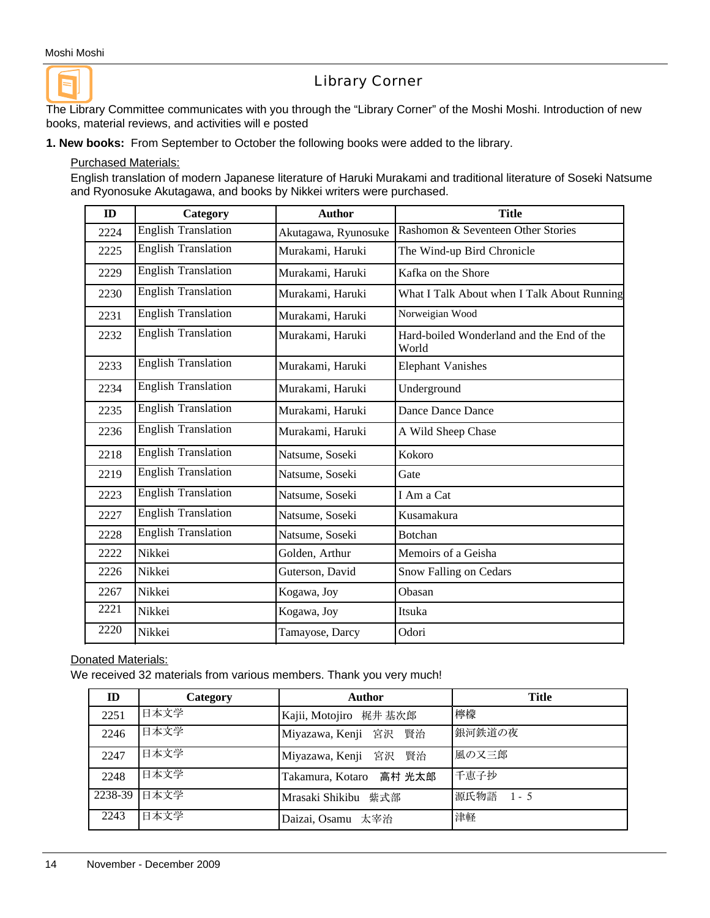

# Library Corner

The Library Committee communicates with you through the "Library Corner" of the Moshi Moshi. Introduction of new books, material reviews, and activities will e posted

**1. New books:** From September to October the following books were added to the library.

### Purchased Materials:

English translation of modern Japanese literature of Haruki Murakami and traditional literature of Soseki Natsume and Ryonosuke Akutagawa, and books by Nikkei writers were purchased.

| $\mathbf{ID}$ | Category                   | <b>Author</b>        | <b>Title</b>                                       |
|---------------|----------------------------|----------------------|----------------------------------------------------|
| 2224          | <b>English Translation</b> | Akutagawa, Ryunosuke | Rashomon & Seventeen Other Stories                 |
| 2225          | <b>English Translation</b> | Murakami, Haruki     | The Wind-up Bird Chronicle                         |
| 2229          | <b>English Translation</b> | Murakami, Haruki     | Kafka on the Shore                                 |
| 2230          | <b>English Translation</b> | Murakami, Haruki     | What I Talk About when I Talk About Running        |
| 2231          | <b>English Translation</b> | Murakami, Haruki     | Norweigian Wood                                    |
| 2232          | <b>English Translation</b> | Murakami, Haruki     | Hard-boiled Wonderland and the End of the<br>World |
| 2233          | <b>English Translation</b> | Murakami, Haruki     | <b>Elephant Vanishes</b>                           |
| 2234          | <b>English Translation</b> | Murakami, Haruki     | Underground                                        |
| 2235          | <b>English Translation</b> | Murakami, Haruki     | Dance Dance Dance                                  |
| 2236          | <b>English Translation</b> | Murakami, Haruki     | A Wild Sheep Chase                                 |
| 2218          | <b>English Translation</b> | Natsume, Soseki      | Kokoro                                             |
| 2219          | <b>English Translation</b> | Natsume, Soseki      | Gate                                               |
| 2223          | <b>English Translation</b> | Natsume, Soseki      | I Am a Cat                                         |
| 2227          | <b>English Translation</b> | Natsume, Soseki      | Kusamakura                                         |
| 2228          | <b>English Translation</b> | Natsume, Soseki      | <b>Botchan</b>                                     |
| 2222          | Nikkei                     | Golden, Arthur       | Memoirs of a Geisha                                |
| 2226          | Nikkei                     | Guterson, David      | Snow Falling on Cedars                             |
| 2267          | Nikkei                     | Kogawa, Joy          | Obasan                                             |
| 2221          | Nikkei                     | Kogawa, Joy          | Itsuka                                             |
| 2220          | Nikkei                     | Tamayose, Darcy      | Odori                                              |

### Donated Materials:

We received 32 materials from various members. Thank you very much!

| ID      | Category | Author                  | <b>Title</b>    |
|---------|----------|-------------------------|-----------------|
| 2251    | 日本文学     | Kajii, Motojiro 梶井 基次郎  | 檸檬              |
| 2246    | 日本文学     | Miyazawa, Kenji 宮沢 賢治   | 銀河鉄道の夜          |
| 2247    | 日本文学     | Miyazawa, Kenji 宮沢 賢治   | 風の又三郎           |
| 2248    | 日本文学     | Takamura, Kotaro 高村 光太郎 | 千恵子抄            |
| 2238-39 | 日本文学     | Mrasaki Shikibu 紫式部     | 源氏物語<br>$1 - 5$ |
| 2243    | 日本文学     | Daizai, Osamu 太宰治       | 津軽              |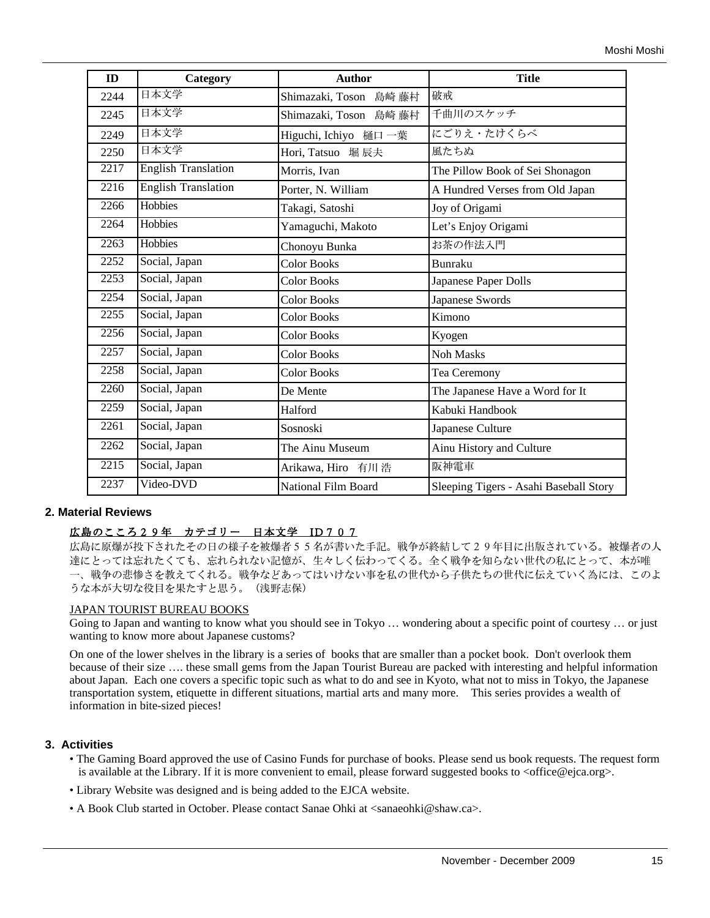| ID   | Category                   | <b>Author</b>          | <b>Title</b>                           |
|------|----------------------------|------------------------|----------------------------------------|
| 2244 | 日本文学                       | Shimazaki, Toson 島崎 藤村 | 破戒                                     |
| 2245 | 日本文学                       | Shimazaki, Toson 島崎 藤村 | 千曲川のスケッチ                               |
| 2249 | 日本文学                       | Higuchi, Ichiyo 樋口一葉   | にごりえ・たけくらべ                             |
| 2250 | 日本文学                       | Hori, Tatsuo 堀辰夫       | 風たちぬ                                   |
| 2217 | <b>English Translation</b> | Morris, Ivan           | The Pillow Book of Sei Shonagon        |
| 2216 | <b>English Translation</b> | Porter, N. William     | A Hundred Verses from Old Japan        |
| 2266 | Hobbies                    | Takagi, Satoshi        | Joy of Origami                         |
| 2264 | Hobbies                    | Yamaguchi, Makoto      | Let's Enjoy Origami                    |
| 2263 | Hobbies                    | Chonoyu Bunka          | お茶の作法入門                                |
| 2252 | Social, Japan              | <b>Color Books</b>     | <b>Bunraku</b>                         |
| 2253 | Social, Japan              | <b>Color Books</b>     | Japanese Paper Dolls                   |
| 2254 | Social, Japan              | <b>Color Books</b>     | Japanese Swords                        |
| 2255 | Social, Japan              | <b>Color Books</b>     | Kimono                                 |
| 2256 | Social, Japan              | <b>Color Books</b>     | Kyogen                                 |
| 2257 | Social, Japan              | <b>Color Books</b>     | <b>Noh Masks</b>                       |
| 2258 | Social, Japan              | <b>Color Books</b>     | Tea Ceremony                           |
| 2260 | Social, Japan              | De Mente               | The Japanese Have a Word for It        |
| 2259 | Social, Japan              | Halford                | Kabuki Handbook                        |
| 2261 | Social, Japan              | Sosnoski               | Japanese Culture                       |
| 2262 | Social, Japan              | The Ainu Museum        | Ainu History and Culture               |
| 2215 | Social, Japan              | Arikawa, Hiro 有川浩      | 阪神電車                                   |
| 2237 | Video-DVD                  | National Film Board    | Sleeping Tigers - Asahi Baseball Story |

### **2. Material Reviews**

### 広島のこころ29年 カテゴリー 日本文学 ID707

広島に原爆が投下されたその日の様子を被爆者55名が書いた手記。戦争が終結して29年目に出版されている。被爆者の人 達にとっては忘れたくても、忘れられない記憶が、生々しく伝わってくる。全く戦争を知らない世代の私にとって、本が唯 一、戦争の悲惨さを教えてくれる。戦争などあってはいけない事を私の世代から子供たちの世代に伝えていく為には、このよ うな本が大切な役目を果たすと思う。(浅野志保)

#### JAPAN TOURIST BUREAU BOOKS

Going to Japan and wanting to know what you should see in Tokyo … wondering about a specific point of courtesy … or just wanting to know more about Japanese customs?

On one of the lower shelves in the library is a series of books that are smaller than a pocket book. Don't overlook them because of their size …. these small gems from the Japan Tourist Bureau are packed with interesting and helpful information about Japan. Each one covers a specific topic such as what to do and see in Kyoto, what not to miss in Tokyo, the Japanese transportation system, etiquette in different situations, martial arts and many more. This series provides a wealth of information in bite-sized pieces!

#### **3. Activities**

- The Gaming Board approved the use of Casino Funds for purchase of books. Please send us book requests. The request form is available at the Library. If it is more convenient to email, please forward suggested books to <office@ejca.org>.
- Library Website was designed and is being added to the EJCA website.
- A Book Club started in October. Please contact Sanae Ohki at <sanaeohki@shaw.ca>.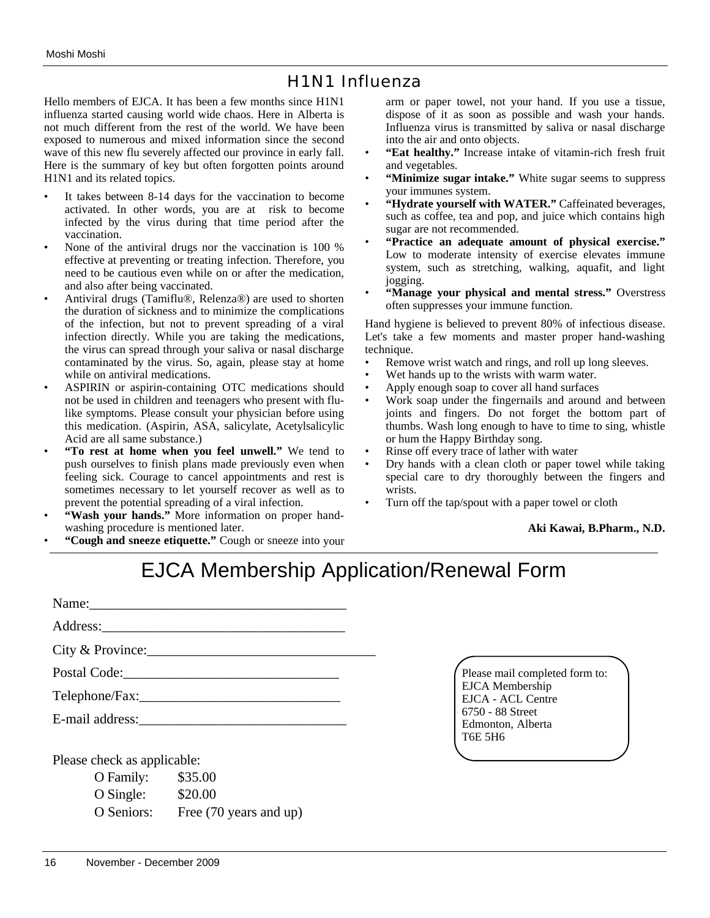# H1N1 Influenza

Hello members of EJCA. It has been a few months since H1N1 influenza started causing world wide chaos. Here in Alberta is not much different from the rest of the world. We have been exposed to numerous and mixed information since the second wave of this new flu severely affected our province in early fall. Here is the summary of key but often forgotten points around H1N1 and its related topics.

- It takes between 8-14 days for the vaccination to become activated. In other words, you are at risk to become infected by the virus during that time period after the vaccination.
- None of the antiviral drugs nor the vaccination is 100 % effective at preventing or treating infection. Therefore, you need to be cautious even while on or after the medication, and also after being vaccinated.
- Antiviral drugs (Tamiflu®, Relenza®) are used to shorten the duration of sickness and to minimize the complications of the infection, but not to prevent spreading of a viral infection directly. While you are taking the medications, the virus can spread through your saliva or nasal discharge contaminated by the virus. So, again, please stay at home while on antiviral medications.
- ASPIRIN or aspirin-containing OTC medications should not be used in children and teenagers who present with flulike symptoms. Please consult your physician before using this medication. (Aspirin, ASA, salicylate, Acetylsalicylic Acid are all same substance.)
- **"To rest at home when you feel unwell."** We tend to push ourselves to finish plans made previously even when feeling sick. Courage to cancel appointments and rest is sometimes necessary to let yourself recover as well as to prevent the potential spreading of a viral infection.
- **"Wash your hands."** More information on proper handwashing procedure is mentioned later.
- **"Cough and sneeze etiquette."** Cough or sneeze into your

arm or paper towel, not your hand. If you use a tissue, dispose of it as soon as possible and wash your hands. Influenza virus is transmitted by saliva or nasal discharge into the air and onto objects.

- "Eat healthy." Increase intake of vitamin-rich fresh fruit and vegetables.
- "Minimize sugar intake." White sugar seems to suppress your immunes system.
- **"Hydrate yourself with WATER."** Caffeinated beverages, such as coffee, tea and pop, and juice which contains high sugar are not recommended.
- **"Practice an adequate amount of physical exercise."** Low to moderate intensity of exercise elevates immune system, such as stretching, walking, aquafit, and light jogging.
- **"Manage your physical and mental stress."** Overstress often suppresses your immune function.

Hand hygiene is believed to prevent 80% of infectious disease. Let's take a few moments and master proper hand-washing technique.

- Remove wrist watch and rings, and roll up long sleeves.
- Wet hands up to the wrists with warm water.
- Apply enough soap to cover all hand surfaces
- Work soap under the fingernails and around and between joints and fingers. Do not forget the bottom part of thumbs. Wash long enough to have to time to sing, whistle or hum the Happy Birthday song.
- Rinse off every trace of lather with water
- Dry hands with a clean cloth or paper towel while taking special care to dry thoroughly between the fingers and wrists.
- Turn off the tap/spout with a paper towel or cloth

#### **Aki Kawai, B.Pharm., N.D.**

# EJCA Membership Application/Renewal Form

| Name:                       |  |  |
|-----------------------------|--|--|
|                             |  |  |
| City & Province:            |  |  |
|                             |  |  |
|                             |  |  |
|                             |  |  |
|                             |  |  |
| Please check as applicable: |  |  |
| O Family: \$35.00           |  |  |
| $O$ Single: $$20.00$        |  |  |

O Seniors: Free (70 years and up)

Please mail completed form to: EJCA Membership EJCA - ACL Centre 6750 - 88 Street Edmonton, Alberta T6E 5H6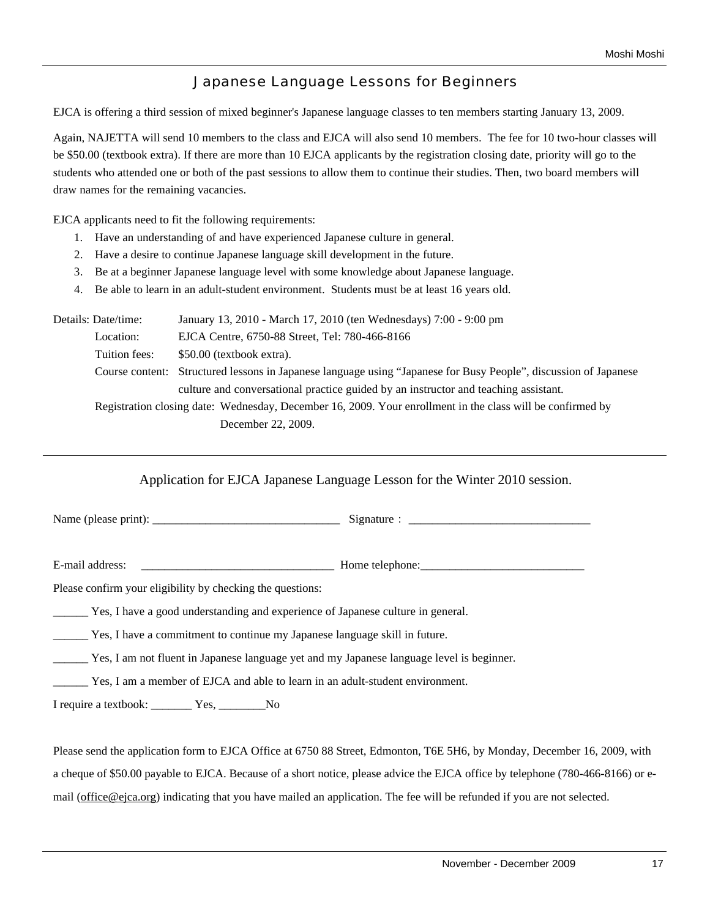# Japanese Language Lessons for Beginners

EJCA is offering a third session of mixed beginner's Japanese language classes to ten members starting January 13, 2009.

Again, NAJETTA will send 10 members to the class and EJCA will also send 10 members. The fee for 10 two-hour classes will be \$50.00 (textbook extra). If there are more than 10 EJCA applicants by the registration closing date, priority will go to the students who attended one or both of the past sessions to allow them to continue their studies. Then, two board members will draw names for the remaining vacancies.

EJCA applicants need to fit the following requirements:

- 1. Have an understanding of and have experienced Japanese culture in general.
- 2. Have a desire to continue Japanese language skill development in the future.
- 3. Be at a beginner Japanese language level with some knowledge about Japanese language.
- 4. Be able to learn in an adult-student environment. Students must be at least 16 years old.

| Details: Date/time: |               | January 13, 2010 - March 17, 2010 (ten Wednesdays) 7:00 - 9:00 pm                                                |
|---------------------|---------------|------------------------------------------------------------------------------------------------------------------|
|                     | Location:     | EJCA Centre, 6750-88 Street, Tel: 780-466-8166                                                                   |
|                     | Tuition fees: | \$50.00 (textbook extra).                                                                                        |
|                     |               | Course content: Structured lessons in Japanese language using "Japanese for Busy People", discussion of Japanese |
|                     |               | culture and conversational practice guided by an instructor and teaching assistant.                              |
|                     |               | Registration closing date: Wednesday, December 16, 2009. Your enrollment in the class will be confirmed by       |
|                     |               | December 22, 2009.                                                                                               |

# Application for EJCA Japanese Language Lesson for the Winter 2010 session.

|                                                                                           | Signature : |
|-------------------------------------------------------------------------------------------|-------------|
|                                                                                           |             |
|                                                                                           |             |
| Please confirm your eligibility by checking the questions:                                |             |
| Yes, I have a good understanding and experience of Japanese culture in general.           |             |
| Yes, I have a commitment to continue my Japanese language skill in future.                |             |
| Yes, I am not fluent in Japanese language yet and my Japanese language level is beginner. |             |
| Yes, I am a member of EJCA and able to learn in an adult-student environment.             |             |
| I require a textbook: Yes, No                                                             |             |

Please send the application form to EJCA Office at 6750 88 Street, Edmonton, T6E 5H6, by Monday, December 16, 2009, with a cheque of \$50.00 payable to EJCA. Because of a short notice, please advice the EJCA office by telephone (780-466-8166) or email (office@ejca.org) indicating that you have mailed an application. The fee will be refunded if you are not selected.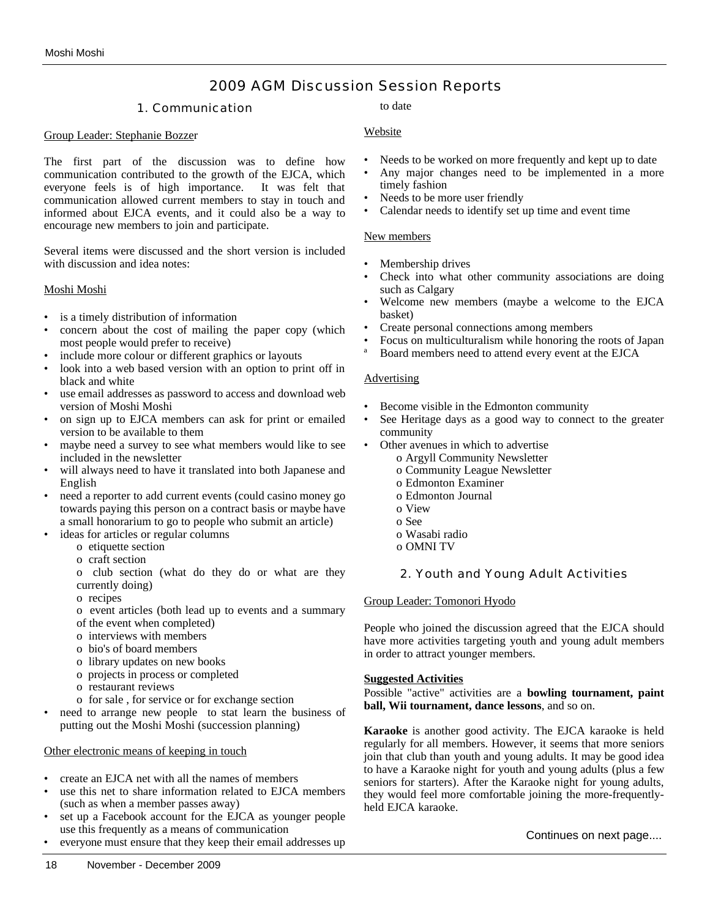# 2009 AGM Discussion Session Reports

### 1. Communication

#### Group Leader: Stephanie Bozzer

The first part of the discussion was to define how communication contributed to the growth of the EJCA, which everyone feels is of high importance. It was felt that communication allowed current members to stay in touch and informed about EJCA events, and it could also be a way to encourage new members to join and participate.

Several items were discussed and the short version is included with discussion and idea notes:

#### Moshi Moshi

- is a timely distribution of information
- concern about the cost of mailing the paper copy (which most people would prefer to receive)
- include more colour or different graphics or layouts
- look into a web based version with an option to print off in black and white
- use email addresses as password to access and download web version of Moshi Moshi
- on sign up to EJCA members can ask for print or emailed version to be available to them
- maybe need a survey to see what members would like to see included in the newsletter
- will always need to have it translated into both Japanese and English
- need a reporter to add current events (could casino money go towards paying this person on a contract basis or maybe have a small honorarium to go to people who submit an article)
- ideas for articles or regular columns
	- o etiquette section
	- o craft section

o club section (what do they do or what are they currently doing)

o recipes

o event articles (both lead up to events and a summary

- of the event when completed)
- o interviews with members
- o bio's of board members
- o library updates on new books
- o projects in process or completed
- o restaurant reviews
- o for sale , for service or for exchange section
- need to arrange new people to stat learn the business of putting out the Moshi Moshi (succession planning)

#### Other electronic means of keeping in touch

- create an EJCA net with all the names of members
- use this net to share information related to EJCA members (such as when a member passes away)
- set up a Facebook account for the EJCA as younger people use this frequently as a means of communication
- everyone must ensure that they keep their email addresses up

### Website

to date

- Needs to be worked on more frequently and kept up to date
- Any major changes need to be implemented in a more timely fashion
- Needs to be more user friendly
- Calendar needs to identify set up time and event time

#### New members

- Membership drives
- Check into what other community associations are doing such as Calgary
- Welcome new members (maybe a welcome to the EJCA basket)
- Create personal connections among members
- Focus on multiculturalism while honoring the roots of Japan
- Board members need to attend every event at the EJCA

#### Advertising

- Become visible in the Edmonton community
- See Heritage days as a good way to connect to the greater community
- Other avenues in which to advertise
	- o Argyll Community Newsletter
	- o Community League Newsletter
	- o Edmonton Examiner
	- o Edmonton Journal
	- o View
	- o See
	- o Wasabi radio
	- o OMNI TV

### 2. Youth and Young Adult Activities

#### Group Leader: Tomonori Hyodo

People who joined the discussion agreed that the EJCA should have more activities targeting youth and young adult members in order to attract younger members.

#### **Suggested Activities**

Possible "active" activities are a **bowling tournament, paint ball, Wii tournament, dance lessons**, and so on.

**Karaoke** is another good activity. The EJCA karaoke is held regularly for all members. However, it seems that more seniors join that club than youth and young adults. It may be good idea to have a Karaoke night for youth and young adults (plus a few seniors for starters). After the Karaoke night for young adults, they would feel more comfortable joining the more-frequentlyheld EJCA karaoke.

Continues on next page....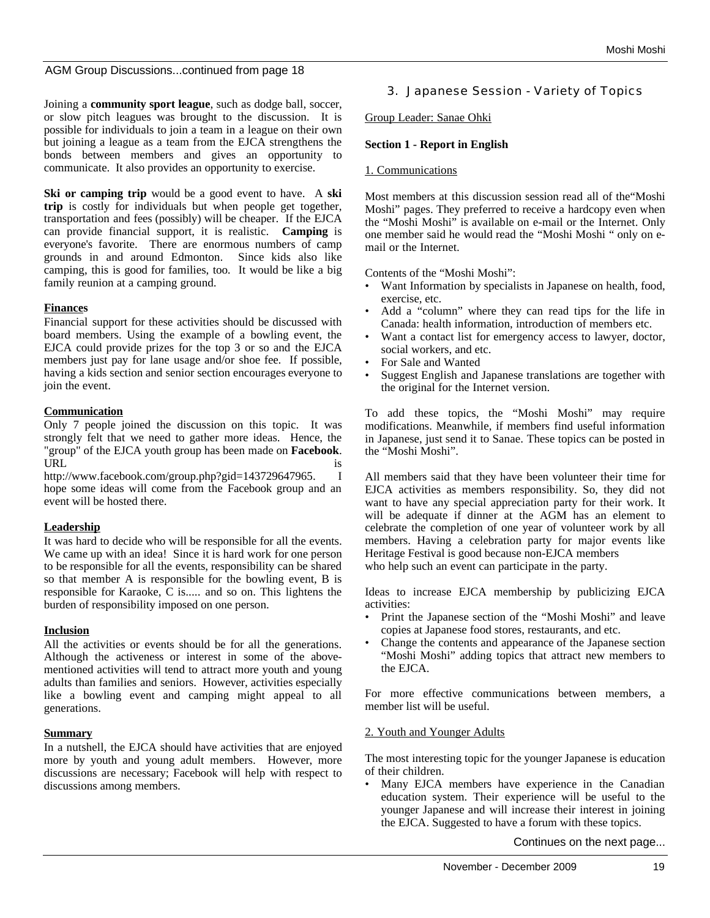#### AGM Group Discussions...continued from page 18

Joining a **community sport league**, such as dodge ball, soccer, or slow pitch leagues was brought to the discussion. It is possible for individuals to join a team in a league on their own but joining a league as a team from the EJCA strengthens the bonds between members and gives an opportunity to communicate. It also provides an opportunity to exercise.

**Ski or camping trip** would be a good event to have. A **ski trip** is costly for individuals but when people get together, transportation and fees (possibly) will be cheaper. If the EJCA can provide financial support, it is realistic. **Camping** is everyone's favorite. There are enormous numbers of camp grounds in and around Edmonton. Since kids also like camping, this is good for families, too. It would be like a big family reunion at a camping ground.

### **Finances**

Financial support for these activities should be discussed with board members. Using the example of a bowling event, the EJCA could provide prizes for the top 3 or so and the EJCA members just pay for lane usage and/or shoe fee. If possible, having a kids section and senior section encourages everyone to join the event.

### **Communication**

Only 7 people joined the discussion on this topic. It was strongly felt that we need to gather more ideas. Hence, the "group" of the EJCA youth group has been made on **Facebook**. URL is

http://www.facebook.com/group.php?gid=143729647965. I hope some ideas will come from the Facebook group and an event will be hosted there.

### **Leadership**

It was hard to decide who will be responsible for all the events. We came up with an idea! Since it is hard work for one person to be responsible for all the events, responsibility can be shared so that member A is responsible for the bowling event, B is responsible for Karaoke, C is..... and so on. This lightens the burden of responsibility imposed on one person.

#### **Inclusion**

All the activities or events should be for all the generations. Although the activeness or interest in some of the abovementioned activities will tend to attract more youth and young adults than families and seniors. However, activities especially like a bowling event and camping might appeal to all generations.

#### **Summary**

In a nutshell, the EJCA should have activities that are enjoyed more by youth and young adult members. However, more discussions are necessary; Facebook will help with respect to discussions among members.

# 3. Japanese Session - Variety of Topics

Group Leader: Sanae Ohki

#### **Section 1 - Report in English**

#### 1. Communications

Most members at this discussion session read all of the"Moshi Moshi" pages. They preferred to receive a hardcopy even when the "Moshi Moshi" is available on e-mail or the Internet. Only one member said he would read the "Moshi Moshi " only on email or the Internet.

Contents of the "Moshi Moshi":

- Want Information by specialists in Japanese on health, food, exercise, etc.
- Add a "column" where they can read tips for the life in Canada: health information, introduction of members etc.
- Want a contact list for emergency access to lawyer, doctor, social workers, and etc.
- For Sale and Wanted
- Suggest English and Japanese translations are together with the original for the Internet version.

To add these topics, the "Moshi Moshi" may require modifications. Meanwhile, if members find useful information in Japanese, just send it to Sanae. These topics can be posted in the "Moshi Moshi".

All members said that they have been volunteer their time for EJCA activities as members responsibility. So, they did not want to have any special appreciation party for their work. It will be adequate if dinner at the AGM has an element to celebrate the completion of one year of volunteer work by all members. Having a celebration party for major events like Heritage Festival is good because non-EJCA members who help such an event can participate in the party.

Ideas to increase EJCA membership by publicizing EJCA activities:

- Print the Japanese section of the "Moshi Moshi" and leave copies at Japanese food stores, restaurants, and etc.
- Change the contents and appearance of the Japanese section "Moshi Moshi" adding topics that attract new members to the EJCA.

For more effective communications between members, a member list will be useful.

#### 2. Youth and Younger Adults

The most interesting topic for the younger Japanese is education of their children.

Many EJCA members have experience in the Canadian education system. Their experience will be useful to the younger Japanese and will increase their interest in joining the EJCA. Suggested to have a forum with these topics.

Continues on the next page...